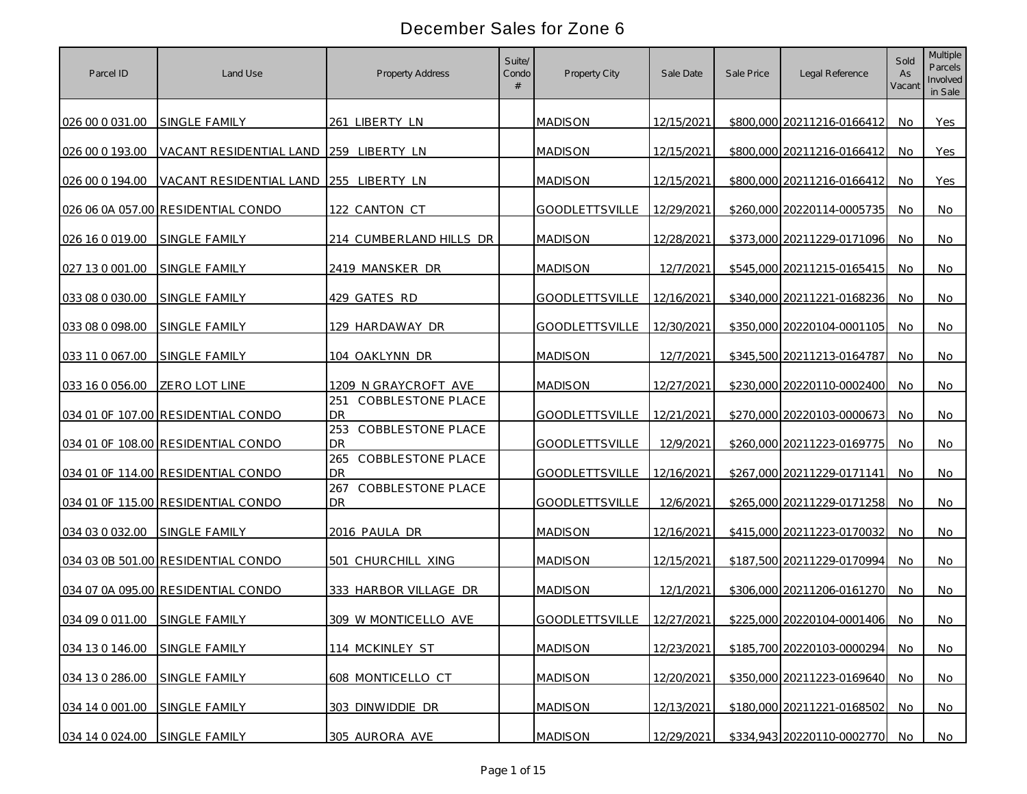| Parcel ID       | Land Use                               | <b>Property Address</b>                                                       | Suite/<br>Condo | Property City         | Sale Date  | Sale Price | Legal Reference            | Sold<br>As<br>Vacant | Multiple<br>Parcels<br>Involved<br>in Sale |
|-----------------|----------------------------------------|-------------------------------------------------------------------------------|-----------------|-----------------------|------------|------------|----------------------------|----------------------|--------------------------------------------|
| 026 00 0 031.00 | <b>SINGLE FAMILY</b>                   | 261 LIBERTY LN                                                                |                 | <b>MADISON</b>        | 12/15/2021 |            | \$800,000 20211216-0166412 | No.                  | Yes                                        |
| 026 00 0 193.00 | VACANT RESIDENTIAL LAND 259 LIBERTY LN |                                                                               |                 | <b>MADISON</b>        | 12/15/2021 |            | \$800,000 20211216-0166412 | No.                  | Yes                                        |
| 026 00 0 194.00 | VACANT RESIDENTIAL LAND                | 255 LIBERTY LN                                                                |                 | <b>MADISON</b>        | 12/15/2021 |            | \$800,000 20211216-0166412 | No                   | Yes                                        |
|                 | 026 06 0A 057.00 RESIDENTIAL CONDO     | 122 CANTON CT                                                                 |                 | <b>GOODLETTSVILLE</b> | 12/29/2021 |            | \$260,000 20220114-0005735 | No                   | No                                         |
| 026 16 0 019.00 | <b>SINGLE FAMILY</b>                   | 214 CUMBERLAND HILLS DR                                                       |                 | <b>MADISON</b>        | 12/28/2021 |            | \$373,000 20211229-0171096 | No.                  | No                                         |
| 027 13 0 001.00 | <b>SINGLE FAMILY</b>                   | 2419 MANSKER DR                                                               |                 | <b>MADISON</b>        | 12/7/2021  |            | \$545,000 20211215-0165415 | No.                  | No                                         |
| 033 08 0 030.00 | <b>SINGLE FAMILY</b>                   | 429 GATES RD                                                                  |                 | <b>GOODLETTSVILLE</b> | 12/16/2021 |            | \$340,000 20211221-0168236 | No                   | No                                         |
| 033 08 0 098.00 | SINGLE FAMILY                          | 129 HARDAWAY DR                                                               |                 | <b>GOODLETTSVILLE</b> | 12/30/2021 |            | \$350,000 20220104-0001105 | No.                  | No                                         |
| 033 11 0 067.00 | SINGLE FAMILY                          | 104 OAKLYNN DR                                                                |                 | <b>MADISON</b>        | 12/7/2021  |            | \$345,500 20211213-0164787 | No                   | No.                                        |
| 033 16 0 056.00 | <b>ZERO LOT LINE</b>                   | 1209 N GRAYCROFT AVE<br><b>COBBLESTONE PLACE</b>                              |                 | <b>MADISON</b>        | 12/27/2021 |            | \$230,000 20220110-0002400 | No.                  | No                                         |
|                 | 034 01 OF 107.00 RESIDENTIAL CONDO     | 251<br>DR.<br>COBBLESTONE PLACE                                               |                 | <b>GOODLETTSVILLE</b> | 12/21/2021 |            | \$270,000 20220103-0000673 | No.                  | No.                                        |
|                 | 034 01 OF 108.00 RESIDENTIAL CONDO     | 253<br>D <sub>R</sub>                                                         |                 | <b>GOODLETTSVILLE</b> | 12/9/2021  |            | \$260,000 20211223-0169775 | No                   | No                                         |
|                 | 034 01 OF 114.00 RESIDENTIAL CONDO     | <b>COBBLESTONE PLACE</b><br>265<br>D <sub>R</sub><br><b>COBBLESTONE PLACE</b> |                 | <b>GOODLETTSVILLE</b> | 12/16/2021 |            | \$267,000 20211229-0171141 | No                   | No                                         |
|                 | 034 01 OF 115.00 RESIDENTIAL CONDO     | 267<br><b>DR</b>                                                              |                 | <b>GOODLETTSVILLE</b> | 12/6/2021  |            | \$265,000 20211229-0171258 | No                   | No                                         |
| 034 03 0 032.00 | SINGLE FAMILY                          | 2016 PAULA DR                                                                 |                 | <b>MADISON</b>        | 12/16/2021 |            | \$415,000 20211223-0170032 | No.                  | No                                         |
|                 | 034 03 0B 501.00 RESIDENTIAL CONDO     | 501<br>CHURCHILL XING                                                         |                 | <b>MADISON</b>        | 12/15/2021 |            | \$187,500 20211229-0170994 | No.                  | No                                         |
|                 | 034 07 0A 095.00 RESIDENTIAL CONDO     | 333 HARBOR VILLAGE DR                                                         |                 | <b>MADISON</b>        | 12/1/2021  |            | \$306,000 20211206-0161270 | No.                  | No.                                        |
| 034 09 0 011.00 | SINGLE FAMILY                          | 309 W MONTICELLO AVE                                                          |                 | GOODLETTSVILLE        | 12/27/2021 |            | \$225,000 20220104-0001406 | No                   | No.                                        |
| 034 13 0 146.00 | SINGLE FAMILY                          | 114 MCKINLEY ST                                                               |                 | <b>MADISON</b>        | 12/23/2021 |            | \$185,700 20220103-0000294 | No.                  | No                                         |
| 034 13 0 286.00 | SINGLE FAMILY                          | 608 MONTICELLO CT                                                             |                 | <b>MADISON</b>        | 12/20/2021 |            | \$350,000 20211223-0169640 | No                   | No                                         |
| 034 14 0 001.00 | SINGLE FAMILY                          | 303 DINWIDDIE DR                                                              |                 | <b>MADISON</b>        | 12/13/2021 |            | \$180,000 20211221-0168502 | No.                  | No                                         |
| 034 14 0 024.00 | SINGLE FAMILY                          | 305 AURORA AVE                                                                |                 | <b>MADISON</b>        | 12/29/2021 |            | \$334,943 20220110-0002770 | No.                  | No                                         |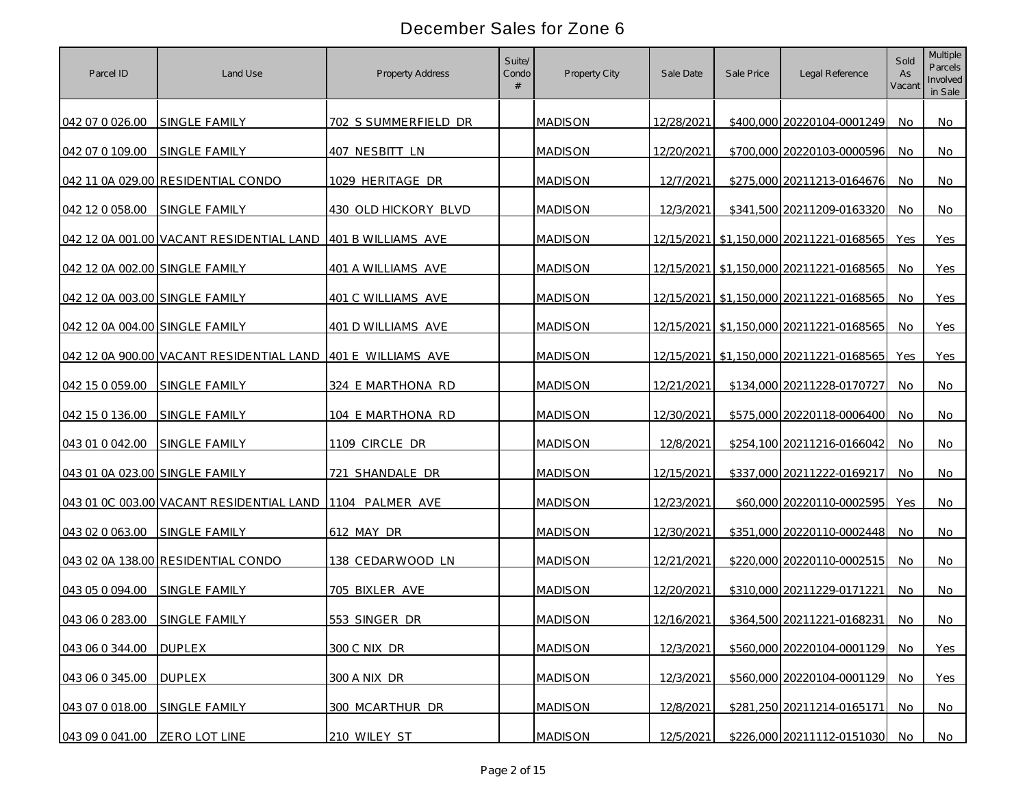| Parcel ID                      | Land Use                                                    | <b>Property Address</b> | Suite/<br>Condo | Property City  | Sale Date  | Sale Price | Legal Reference                         | Sold<br>As<br>Vacant | Multiple<br>Parcels<br>Involved<br>in Sale |
|--------------------------------|-------------------------------------------------------------|-------------------------|-----------------|----------------|------------|------------|-----------------------------------------|----------------------|--------------------------------------------|
| 042 07 0 026.00                | <b>SINGLE FAMILY</b>                                        | 702 S SUMMERFIELD DR    |                 | <b>MADISON</b> | 12/28/2021 |            | \$400,000 20220104-0001249              | No.                  | No.                                        |
| 042 07 0 109.00                | SINGLE FAMILY                                               | 407 NESBITT LN          |                 | <b>MADISON</b> | 12/20/2021 |            | \$700,000 20220103-0000596              | No.                  | No.                                        |
|                                | 042 11 0A 029.00 RESIDENTIAL CONDO                          | 1029 HERITAGE DR        |                 | <b>MADISON</b> | 12/7/2021  |            | \$275,000 20211213-0164676              | <b>No</b>            | No.                                        |
| 042 12 0 058.00                | SINGLE FAMILY                                               | 430 OLD HICKORY BLVD    |                 | <b>MADISON</b> | 12/3/2021  |            | \$341,500 20211209-0163320              | No                   | No                                         |
|                                | 042 12 0A 001.00 VACANT RESIDENTIAL LAND 401 B WILLIAMS AVE |                         |                 | <b>MADISON</b> |            |            | 12/15/2021 \$1,150,000 20211221-0168565 | Yes                  | Yes                                        |
| 042 12 0A 002.00 SINGLE FAMILY |                                                             | 401 A WILLIAMS AVE      |                 | <b>MADISON</b> |            |            | 12/15/2021 \$1,150,000 20211221-0168565 | No                   | Yes                                        |
| 042 12 0A 003.00 SINGLE FAMILY |                                                             | 401 C WILLIAMS AVE      |                 | <b>MADISON</b> |            |            | 12/15/2021 \$1,150,000 20211221-0168565 | No.                  | Yes                                        |
| 042 12 0A 004.00 SINGLE FAMILY |                                                             | 401 D WILLIAMS AVE      |                 | <b>MADISON</b> |            |            | 12/15/2021 \$1,150,000 20211221-0168565 | No                   | Yes                                        |
|                                | 042 12 0A 900.00 VACANT RESIDENTIAL LAND 401 E WILLIAMS AVE |                         |                 | <b>MADISON</b> |            |            | 12/15/2021 \$1,150,000 20211221-0168565 | Yes.                 | Yes                                        |
| 042 15 0 059.00                | <b>SINGLE FAMILY</b>                                        | 324 E MARTHONA RD       |                 | <b>MADISON</b> | 12/21/2021 |            | \$134,000 20211228-0170727              | No.                  | No                                         |
| 042 15 0 136.00                | SINGLE FAMILY                                               | 104 E MARTHONA RD       |                 | <b>MADISON</b> | 12/30/2021 |            | \$575,000 20220118-0006400              | No.                  | No.                                        |
| 043 01 0 042.00                | <b>SINGLE FAMILY</b>                                        | 1109 CIRCLE DR          |                 | <b>MADISON</b> | 12/8/2021  |            | \$254,100 20211216-0166042              | No.                  | <b>No</b>                                  |
| 043 01 0A 023.00 SINGLE FAMILY |                                                             | 721 SHANDALE DR         |                 | <b>MADISON</b> | 12/15/2021 |            | \$337,000 20211222-0169217              | No.                  | No                                         |
|                                | 043 01 OC 003.00 VACANT RESIDENTIAL LAND                    | 1104 PALMER AVE         |                 | <b>MADISON</b> | 12/23/2021 |            | \$60,000 20220110-0002595               | Yes                  | No                                         |
| 043 02 0 063.00                | <b>SINGLE FAMILY</b>                                        | 612 MAY DR              |                 | <b>MADISON</b> | 12/30/2021 |            | \$351,000 20220110-0002448              | No                   | No                                         |
|                                | 043 02 0A 138.00 RESIDENTIAL CONDO                          | 138 CEDARWOOD LN        |                 | <b>MADISON</b> | 12/21/2021 |            | \$220,000 20220110-0002515              | No.                  | <b>No</b>                                  |
| 043 05 0 094.00                | SINGLE FAMILY                                               | 705 BIXLER AVE          |                 | <b>MADISON</b> | 12/20/2021 |            | \$310,000 20211229-0171221              | No.                  | No                                         |
| 043 06 0 283.00                | SINGLE FAMILY                                               | 553 SINGER DR           |                 | <b>MADISON</b> | 12/16/2021 |            | \$364,500 20211221-0168231              | No                   | No.                                        |
| 043 06 0 344.00                | <b>DUPLEX</b>                                               | 300 C NIX DR            |                 | <b>MADISON</b> | 12/3/2021  |            | \$560,000 20220104-0001129 No           |                      | Yes                                        |
| 043 06 0 345.00                | <b>DUPLEX</b>                                               | 300 A NIX DR            |                 | <b>MADISON</b> | 12/3/2021  |            | \$560,000 20220104-0001129              | No                   | Yes                                        |
| 043 07 0 018.00                | SINGLE FAMILY                                               | 300 MCARTHUR DR         |                 | <b>MADISON</b> | 12/8/2021  |            | \$281,250 20211214-0165171              | No                   | No                                         |
| 043 09 0 041.00                | ZERO LOT LINE                                               | 210 WILEY ST            |                 | <b>MADISON</b> | 12/5/2021  |            | \$226,000 20211112-0151030 No           |                      | No                                         |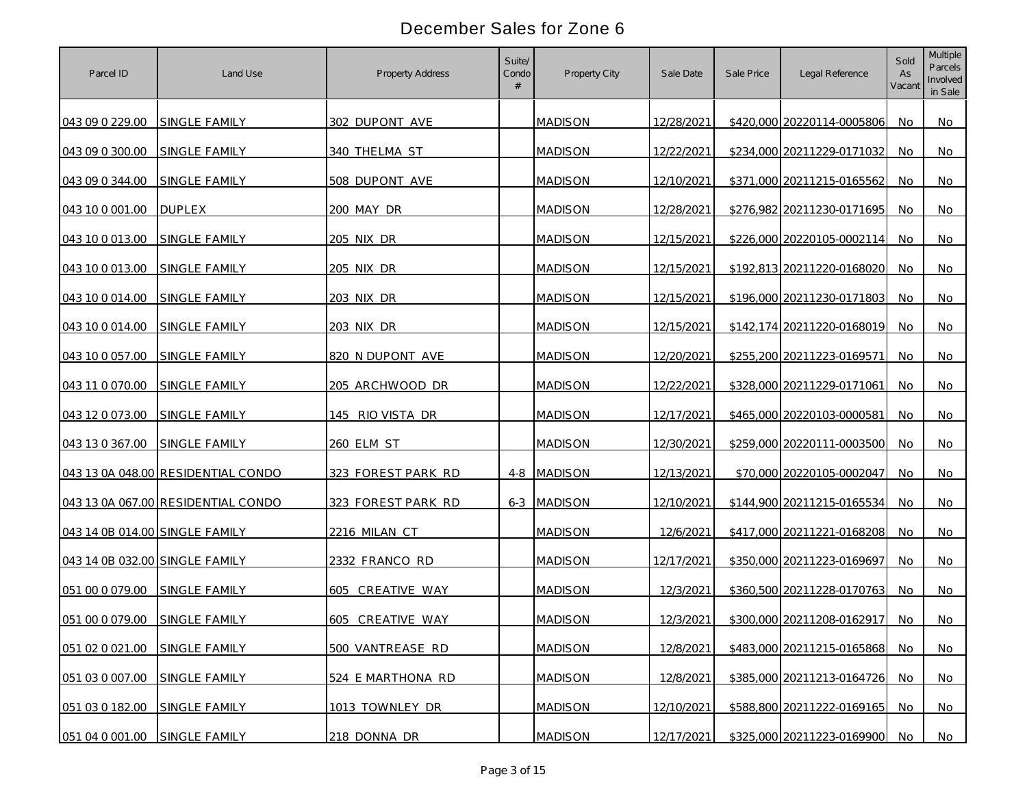| Parcel ID                      | Land Use                           | <b>Property Address</b> | Suite/<br>Condo | Property City  | Sale Date  | Sale Price | Legal Reference            | Sold<br>As<br>Vacant | <b>Multiple</b><br>Parcels<br>Involved<br>in Sale |
|--------------------------------|------------------------------------|-------------------------|-----------------|----------------|------------|------------|----------------------------|----------------------|---------------------------------------------------|
| 043 09 0 229.00                | SINGLE FAMILY                      | 302 DUPONT AVE          |                 | <b>MADISON</b> | 12/28/2021 |            | \$420,000 20220114-0005806 | No.                  | No                                                |
| 043 09 0 300.00                | SINGLE FAMILY                      | 340 THELMA ST           |                 | <b>MADISON</b> | 12/22/2021 |            | \$234,000 20211229-0171032 | No.                  | No.                                               |
| 043 09 0 344.00                | SINGLE FAMILY                      | 508 DUPONT AVE          |                 | <b>MADISON</b> | 12/10/2021 |            | \$371,000 20211215-0165562 | No                   | No                                                |
| 043 10 0 001 00                | <b>DUPLEX</b>                      | 200 MAY DR              |                 | <b>MADISON</b> | 12/28/2021 |            | \$276,982 20211230-0171695 | No                   | No                                                |
| 043 10 0 013 00                | <b>SINGLE FAMILY</b>               | 205 NIX DR              |                 | <b>MADISON</b> | 12/15/2021 |            | \$226,000 20220105-0002114 | No                   | No                                                |
| 043 10 0 013.00                | SINGLE FAMILY                      | 205 NIX DR              |                 | <b>MADISON</b> | 12/15/2021 |            | \$192,813 20211220-0168020 | No                   | No                                                |
| 043 10 0 014 00                | <b>SINGLE FAMILY</b>               | 203 NIX DR              |                 | <b>MADISON</b> | 12/15/2021 |            | \$196,000 20211230-0171803 | No                   | No                                                |
| 043 10 0 014.00                | SINGLE FAMILY                      | 203 NIX DR              |                 | <b>MADISON</b> | 12/15/2021 |            | \$142,174 20211220-0168019 | No                   | No                                                |
| 043 10 0 057.00                | SINGLE FAMILY                      | 820 N DUPONT AVE        |                 | <b>MADISON</b> | 12/20/2021 |            | \$255,200 20211223-0169571 | No.                  | No                                                |
| 043 11 0 070.00                | SINGLE FAMILY                      | 205 ARCHWOOD DR         |                 | <b>MADISON</b> | 12/22/2021 |            | \$328,000 20211229-0171061 | No.                  | No                                                |
| 043 12 0 073.00                | <b>SINGLE FAMILY</b>               | 145 RIO VISTA DR        |                 | <b>MADISON</b> | 12/17/2021 |            | \$465,000 20220103-0000581 | No.                  | No.                                               |
| 043 13 0 367.00                | <b>SINGLE FAMILY</b>               | 260 ELM ST              |                 | <b>MADISON</b> | 12/30/2021 |            | \$259,000 20220111-0003500 | No.                  | No.                                               |
|                                | 043 13 0A 048.00 RESIDENTIAL CONDO | 323 FOREST PARK RD      |                 | 4-8 MADISON    | 12/13/2021 |            | \$70,000 20220105-0002047  | No.                  | No                                                |
|                                | 043 13 0A 067.00 RESIDENTIAL CONDO | 323 FOREST PARK RD      |                 | 6-3 MADISON    | 12/10/2021 |            | \$144,900 20211215-0165534 | No                   | <b>No</b>                                         |
| 043 14 0B 014.00 SINGLE FAMILY |                                    | 2216 MILAN CT           |                 | <b>MADISON</b> | 12/6/2021  |            | \$417,000 20211221-0168208 | No                   | No.                                               |
| 043 14 0B 032.00 SINGLE FAMILY |                                    | 2332 FRANCO RD          |                 | <b>MADISON</b> | 12/17/2021 |            | \$350,000 20211223-0169697 | No.                  | No                                                |
| 051 00 0 079.00                | SINGLE FAMILY                      | 605<br>CREATIVE WAY     |                 | <b>MADISON</b> | 12/3/2021  |            | \$360,500 20211228-0170763 | No.                  | No.                                               |
| 051 00 0 079.00                | SINGLE FAMILY                      | 605 CREATIVE WAY        |                 | <b>MADISON</b> | 12/3/2021  |            | \$300,000 20211208-0162917 | No.                  | No.                                               |
| 051 02 0 021.00                | SINGLE FAMILY                      | 500 VANTREASE RD        |                 | <b>MADISON</b> | 12/8/2021  |            | \$483,000 20211215-0165868 | No                   | No                                                |
| 051 03 0 007.00                | SINGLE FAMILY                      | 524 E MARTHONA RD       |                 | <b>MADISON</b> | 12/8/2021  |            | \$385,000 20211213-0164726 | No                   | No                                                |
| 051 03 0 182.00                | SINGLE FAMILY                      | 1013 TOWNLEY DR         |                 | <b>MADISON</b> | 12/10/2021 |            | \$588,800 20211222-0169165 | No                   | No                                                |
| 051 04 0 001.00                | SINGLE FAMILY                      | 218 DONNA DR            |                 | <b>MADISON</b> | 12/17/2021 |            | \$325,000 20211223-0169900 | No                   | No                                                |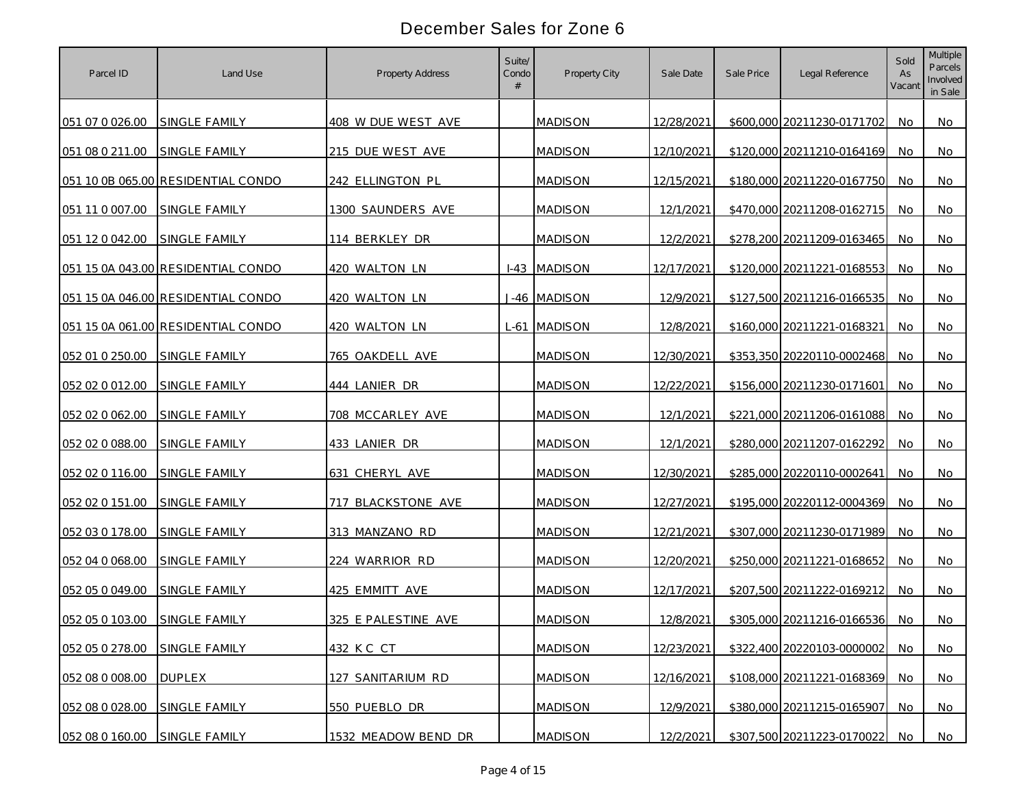| Parcel ID       | Land Use                           | <b>Property Address</b> | Suite/<br>Condo | Property City  | Sale Date  | Sale Price | Legal Reference            | Sold<br>As<br>Vacant | <b>Multiple</b><br>Parcels<br>Involved<br>in Sale |
|-----------------|------------------------------------|-------------------------|-----------------|----------------|------------|------------|----------------------------|----------------------|---------------------------------------------------|
| 051 07 0 026.00 | <b>SINGLE FAMILY</b>               | 408 W DUE WEST AVE      |                 | <b>MADISON</b> | 12/28/2021 |            | \$600,000 20211230-0171702 | No.                  | No                                                |
| 051 08 0 211.00 | SINGLE FAMILY                      | 215 DUE WEST AVE        |                 | <b>MADISON</b> | 12/10/2021 |            | \$120,000 20211210-0164169 | No.                  | No.                                               |
|                 | 051 10 0B 065.00 RESIDENTIAL CONDO | 242 ELLINGTON PL        |                 | <b>MADISON</b> | 12/15/2021 |            | \$180,000 20211220-0167750 | <b>No</b>            | No                                                |
| 051 11 0 007.00 | SINGLE FAMILY                      | 1300 SAUNDERS AVE       |                 | <b>MADISON</b> | 12/1/2021  |            | \$470,000 20211208-0162715 | No                   | No                                                |
| 051 12 0 042.00 | <b>SINGLE FAMILY</b>               | 114 BERKLEY DR          |                 | <b>MADISON</b> | 12/2/2021  |            | \$278,200 20211209-0163465 | No                   | No                                                |
|                 | 051 15 0A 043.00 RESIDENTIAL CONDO | 420 WALTON LN           |                 | I-43 MADISON   | 12/17/2021 |            | \$120,000 20211221-0168553 | No                   | No                                                |
|                 | 051 15 0A 046.00 RESIDENTIAL CONDO | 420 WALTON LN           |                 | J-46 MADISON   | 12/9/2021  |            | \$127,500 20211216-0166535 | No                   | No                                                |
|                 | 051 15 0A 061.00 RESIDENTIAL CONDO | 420 WALTON LN           |                 | L-61 MADISON   | 12/8/2021  |            | \$160,000 20211221-0168321 | No                   | No                                                |
| 052 01 0 250.00 | SINGLE FAMILY                      | 765 OAKDELL AVE         |                 | <b>MADISON</b> | 12/30/2021 |            | \$353,350 20220110-0002468 | No.                  | No                                                |
| 052 02 0 012.00 | SINGLE FAMILY                      | 444 LANIER DR           |                 | <b>MADISON</b> | 12/22/2021 |            | \$156,000 20211230-0171601 | No.                  | No                                                |
| 052 02 0 062.00 | <b>SINGLE FAMILY</b>               | 708 MCCARLEY AVE        |                 | <b>MADISON</b> | 12/1/2021  |            | \$221,000 20211206-0161088 | No.                  | No.                                               |
| 052 02 0 088.00 | SINGLE FAMILY                      | 433 LANIER DR           |                 | <b>MADISON</b> | 12/1/2021  |            | \$280,000 20211207-0162292 | No.                  | No.                                               |
| 052 02 0 116.00 | SINGLE FAMILY                      | 631 CHERYL AVE          |                 | <b>MADISON</b> | 12/30/2021 |            | \$285,000 20220110-0002641 | No.                  | No                                                |
| 052 02 0 151.00 | SINGLE FAMILY                      | 717 BLACKSTONE AVE      |                 | <b>MADISON</b> | 12/27/2021 |            | \$195,000 20220112-0004369 | No                   | <b>No</b>                                         |
| 052 03 0 178.00 | <b>SINGLE FAMILY</b>               | 313 MANZANO RD          |                 | <b>MADISON</b> | 12/21/2021 |            | \$307,000 20211230-0171989 | No                   | No                                                |
| 052 04 0 068.00 | <b>SINGLE FAMILY</b>               | 224 WARRIOR RD          |                 | <b>MADISON</b> | 12/20/2021 |            | \$250,000 20211221-0168652 | No.                  | No                                                |
| 052 05 0 049.00 | <b>SINGLE FAMILY</b>               | 425 EMMITT AVE          |                 | <b>MADISON</b> | 12/17/2021 |            | \$207,500 20211222-0169212 | No.                  | No                                                |
| 052 05 0 103.00 | <b>SINGLE FAMILY</b>               | 325 E PALESTINE AVE     |                 | <b>MADISON</b> | 12/8/2021  |            | \$305,000 20211216-0166536 | No.                  | No.                                               |
| 052 05 0 278.00 | SINGLE FAMILY                      | 432 KC CT               |                 | <b>MADISON</b> | 12/23/2021 |            | \$322,400 20220103-0000002 | No                   | No                                                |
| 052 08 0 008.00 | <b>DUPLEX</b>                      | 127 SANITARIUM RD       |                 | <b>MADISON</b> | 12/16/2021 |            | \$108,000 20211221-0168369 | No                   | No                                                |
| 052 08 0 028.00 | SINGLE FAMILY                      | 550 PUEBLO DR           |                 | <b>MADISON</b> | 12/9/2021  |            | \$380,000 20211215-0165907 | No                   | No                                                |
| 052 08 0 160.00 | SINGLE FAMILY                      | 1532 MEADOW BEND DR     |                 | <b>MADISON</b> | 12/2/2021  |            | \$307,500 20211223-0170022 | No                   | No                                                |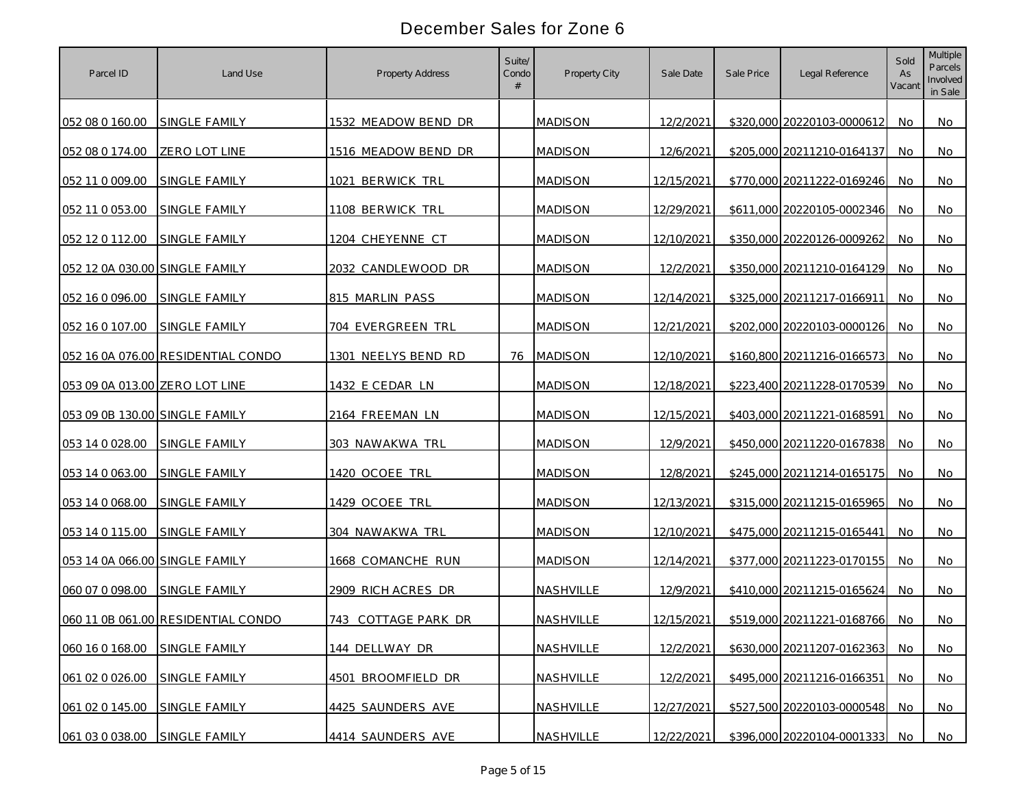| Parcel ID                      | Land Use                           | <b>Property Address</b>  | Suite/<br>Condo | Property City  | Sale Date  | Sale Price | Legal Reference            | Sold<br>As<br>Vacant | Multiple<br>Parcels<br>Involved<br>in Sale |
|--------------------------------|------------------------------------|--------------------------|-----------------|----------------|------------|------------|----------------------------|----------------------|--------------------------------------------|
| 052 08 0 160.00                | SINGLE FAMILY                      | 1532 MEADOW BEND DR      |                 | <b>MADISON</b> | 12/2/2021  |            | \$320,000 20220103-0000612 | No.                  | No                                         |
| 052 08 0 174.00                | ZERO LOT LINE                      | 1516 MEADOW BEND DR      |                 | <b>MADISON</b> | 12/6/2021  |            | \$205,000 20211210-0164137 | No.                  | No                                         |
| 052 11 0 009.00                | SINGLE FAMILY                      | 1021 BERWICK TRL         |                 | <b>MADISON</b> | 12/15/2021 |            | \$770,000 20211222-0169246 | <b>No</b>            | No                                         |
| 052 11 0 053.00                | SINGLE FAMILY                      | 1108 BERWICK TRL         |                 | <b>MADISON</b> | 12/29/2021 |            | \$611,000 20220105-0002346 | No                   | No                                         |
| 052 12 0 112.00                | SINGLE FAMILY                      | 1204 CHEYENNE CT         |                 | <b>MADISON</b> | 12/10/2021 |            | \$350,000 20220126-0009262 | No                   | No                                         |
| 052 12 0A 030.00 SINGLE FAMILY |                                    | 2032 CANDLEWOOD DR       |                 | <b>MADISON</b> | 12/2/2021  |            | \$350,000 20211210-0164129 | No                   | No                                         |
| 052 16 0 096.00                | SINGLE FAMILY                      | 815 MARLIN PASS          |                 | <b>MADISON</b> | 12/14/2021 |            | \$325,000 20211217-0166911 | No                   | No                                         |
| 052 16 0 107.00                | SINGLE FAMILY                      | 704 EVERGREEN TRL        |                 | <b>MADISON</b> | 12/21/2021 |            | \$202,000 20220103-0000126 | No                   | No                                         |
|                                | 052 16 0A 076.00 RESIDENTIAL CONDO | 1301 NEELYS BEND RD      |                 | 76 MADISON     | 12/10/2021 |            | \$160,800 20211216-0166573 | No.                  | No                                         |
| 053 09 0A 013.00 ZERO LOT LINE |                                    | 1432 E CEDAR LN          |                 | <b>MADISON</b> | 12/18/2021 |            | \$223,400 20211228-0170539 | No.                  | No                                         |
| 053 09 0B 130.00 SINGLE FAMILY |                                    | 2164 FREEMAN LN          |                 | <b>MADISON</b> | 12/15/2021 |            | \$403,000 20211221-0168591 | No.                  | No.                                        |
| 053 14 0 028.00                | SINGLE FAMILY                      | 303 NAWAKWA TRL          |                 | <b>MADISON</b> | 12/9/2021  |            | \$450,000 20211220-0167838 | No.                  | <b>No</b>                                  |
| 053 14 0 063.00                | SINGLE FAMILY                      | 1420 OCOEE TRL           |                 | <b>MADISON</b> | 12/8/2021  |            | \$245,000 20211214-0165175 | No.                  | No                                         |
| 053 14 0 068.00                | SINGLE FAMILY                      | 1429 OCOEE TRL           |                 | <b>MADISON</b> | 12/13/2021 |            | \$315,000 20211215-0165965 | No                   | <b>No</b>                                  |
| 053 14 0 115.00                | SINGLE FAMILY                      | 304 NAWAKWA TRL          |                 | <b>MADISON</b> | 12/10/2021 |            | \$475,000 20211215-0165441 | No                   | No                                         |
| 053 14 0A 066.00 SINGLE FAMILY |                                    | <u>1668 COMANCHE RUN</u> |                 | <b>MADISON</b> | 12/14/2021 |            | \$377,000 20211223-0170155 | No                   | No                                         |
| 060 07 0 098.00                | <b>SINGLE FAMILY</b>               | 2909 RICH ACRES DR       |                 | NASHVILLE      | 12/9/2021  |            | \$410,000 20211215-0165624 | No                   | No                                         |
|                                | 060 11 0B 061.00 RESIDENTIAL CONDO | 743 COTTAGE PARK DR      |                 | NASHVILLE      | 12/15/2021 |            | \$519,000 20211221-0168766 | No                   | No.                                        |
| 060 16 0 168.00                | SINGLE FAMILY                      | 144 DELLWAY DR           |                 | NASHVILLE      | 12/2/2021  |            | \$630,000 20211207-0162363 | No                   | <b>No</b>                                  |
| 061 02 0 026.00                | SINGLE FAMILY                      | 4501 BROOMFIELD DR       |                 | NASHVILLE      | 12/2/2021  |            | \$495,000 20211216-0166351 | No                   | <b>No</b>                                  |
| 061 02 0 145.00                | SINGLE FAMILY                      | 4425 SAUNDERS AVE        |                 | NASHVILLE      | 12/27/2021 |            | \$527,500 20220103-0000548 | No                   | No                                         |
| 061 03 0 038.00                | SINGLE FAMILY                      | 4414 SAUNDERS AVE        |                 | NASHVILLE      | 12/22/2021 |            | \$396,000 20220104-0001333 | No                   | No                                         |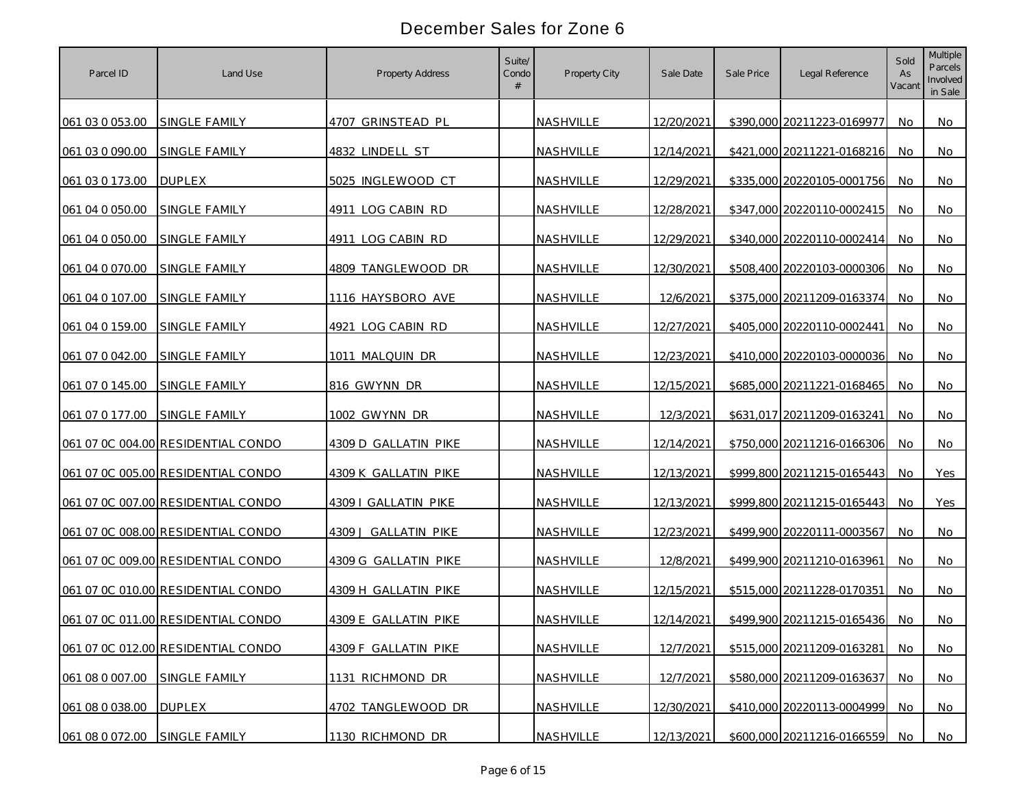| Parcel ID                     | Land Use                           | <b>Property Address</b> | Suite/<br>Condo | Property City    | Sale Date  | Sale Price | Legal Reference               | Sold<br>As<br>Vacant | Multiple<br>Parcels<br>Involved<br>in Sale |
|-------------------------------|------------------------------------|-------------------------|-----------------|------------------|------------|------------|-------------------------------|----------------------|--------------------------------------------|
| 061 03 0 053.00               | SINGLE FAMILY                      | 4707 GRINSTEAD PL       |                 | NASHVILLE        | 12/20/2021 |            | \$390,000 20211223-0169977    | No                   | No                                         |
| 061 03 0 090.00               | SINGLE FAMILY                      | 4832 LINDELL ST         |                 | <b>NASHVILLE</b> | 12/14/2021 |            | \$421,000 20211221-0168216    | No.                  | No.                                        |
| 061 03 0 173.00               | <b>DUPLEX</b>                      | 5025 INGLEWOOD CT       |                 | NASHVILLE        | 12/29/2021 |            | \$335,000 20220105-0001756    | <b>No</b>            | No                                         |
| 061 04 0 050.00               | SINGLE FAMILY                      | 4911 LOG CABIN RD       |                 | NASHVILLE        | 12/28/2021 |            | \$347,000 20220110-0002415    | No                   | No                                         |
| 061 04 0 050.00               | <b>SINGLE FAMILY</b>               | 4911 LOG CABIN RD       |                 | NASHVILLE        | 12/29/2021 |            | \$340,000 20220110-0002414    | No                   | No                                         |
| 061 04 0 070.00               | <b>SINGLE FAMILY</b>               | 4809 TANGLEWOOD DR      |                 | NASHVILLE        | 12/30/2021 |            | \$508,400 20220103-0000306    | No                   | No                                         |
| 061 04 0 107.00               | <b>SINGLE FAMILY</b>               | 1116 HAYSBORO AVE       |                 | NASHVILLE        | 12/6/2021  |            | \$375,000 20211209-0163374    | No                   | No                                         |
| 061 04 0 159.00               | SINGLE FAMILY                      | 4921 LOG CABIN RD       |                 | NASHVILLE        | 12/27/2021 |            | \$405,000 20220110-0002441    | No                   | No                                         |
| 061 07 0 042.00               | SINGLE FAMILY                      | 1011 MALQUIN DR         |                 | NASHVILLE        | 12/23/2021 |            | \$410,000 20220103-0000036    | No.                  | No                                         |
| 061 07 0 145.00               | SINGLE FAMILY                      | 816 GWYNN DR            |                 | NASHVILLE        | 12/15/2021 |            | \$685,000 20211221-0168465    | No.                  | No                                         |
| 061 07 0 177.00               | SINGLE FAMILY                      | 1002 GWYNN DR           |                 | NASHVILLE        | 12/3/2021  |            | \$631,017 20211209-0163241    | No.                  | No.                                        |
|                               | 061 07 0C 004.00 RESIDENTIAL CONDO | 4309 D GALLATIN PIKE    |                 | NASHVILLE        | 12/14/2021 |            | \$750,000 20211216-0166306    | No                   | <b>No</b>                                  |
|                               | 061 07 0C 005.00 RESIDENTIAL CONDO | 4309 K GALLATIN PIKE    |                 | NASHVILLE        | 12/13/2021 |            | \$999,800 20211215-0165443    | No.                  | <b>Yes</b>                                 |
|                               | 061 07 0C 007.00 RESIDENTIAL CONDO | 4309   GALLATIN PIKE    |                 | NASHVILLE        | 12/13/2021 |            | \$999,800 20211215-0165443    | No                   | Yes                                        |
|                               | 061 07 OC 008.00 RESIDENTIAL CONDO | 4309 J GALLATIN PIKE    |                 | NASHVILLE        | 12/23/2021 |            | \$499,900 20220111-0003567    | No                   | No.                                        |
|                               | 061 07 0C 009.00 RESIDENTIAL CONDO | 4309 G GALLATIN PIKE    |                 | NASHVILLE        | 12/8/2021  |            | \$499,900 20211210-0163961    | No                   | No                                         |
|                               | 061 07 OC 010.00 RESIDENTIAL CONDO | 4309 H GALLATIN PIKE    |                 | NASHVILLE        | 12/15/2021 |            | \$515,000 20211228-0170351    | No                   | No.                                        |
|                               | 061 07 0C 011.00 RESIDENTIAL CONDO | 4309 E GALLATIN PIKE    |                 | NASHVILLE        | 12/14/2021 |            | \$499,900 20211215-0165436    | No                   | No.                                        |
|                               | 061 07 0C 012.00 RESIDENTIAL CONDO | 4309 F GALLATIN PIKE    |                 | NASHVILLE        | 12/7/2021  |            | \$515,000 20211209-0163281    | No.                  | <b>No</b>                                  |
| 061 08 0 007.00               | SINGLE FAMILY                      | 1131 RICHMOND DR        |                 | NASHVILLE        | 12/7/2021  |            | \$580,000 20211209-0163637    | No                   | No                                         |
| 061 08 0 038.00               | <b>DUPLEX</b>                      | 4702 TANGLEWOOD DR      |                 | NASHVILLE        | 12/30/2021 |            | \$410,000 20220113-0004999    | No                   | No                                         |
| 061 08 0 072.00 SINGLE FAMILY |                                    | 1130 RICHMOND DR        |                 | NASHVILLE        | 12/13/2021 |            | \$600,000 20211216-0166559 No |                      | No                                         |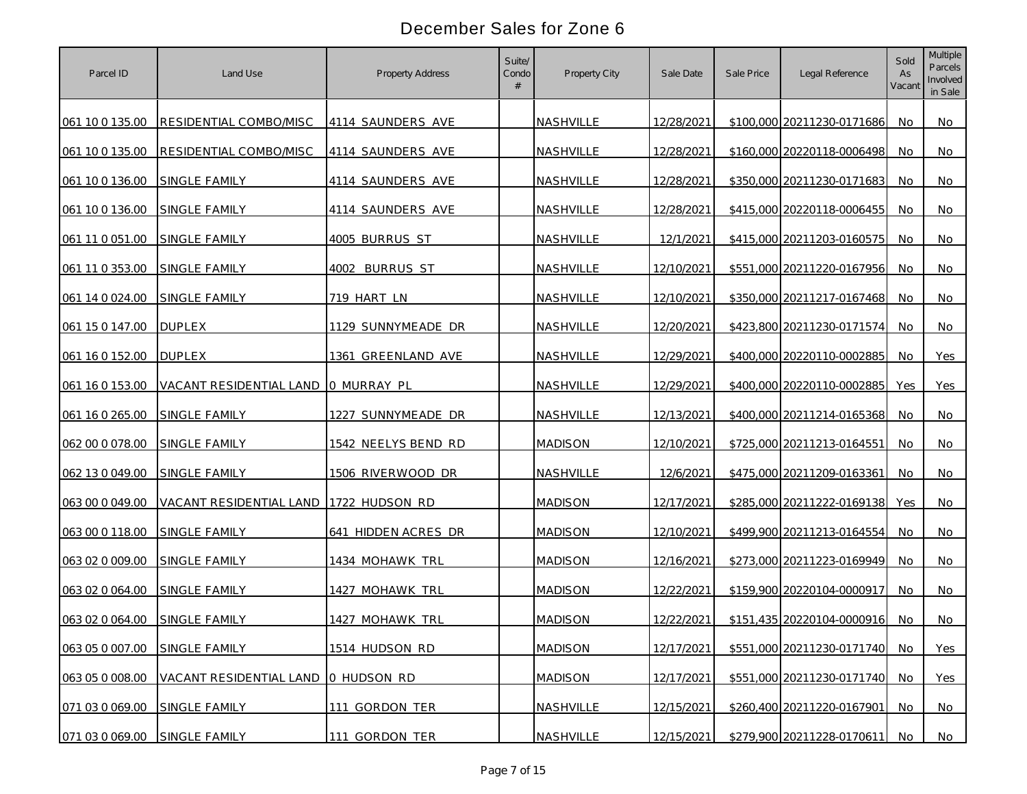| Parcel ID       | Land Use                            | <b>Property Address</b> | Suite/<br>Condo | Property City  | Sale Date  | Sale Price | Legal Reference            | Sold<br>As<br>Vacant | Multiple<br>Parcels<br>Involved<br>in Sale |
|-----------------|-------------------------------------|-------------------------|-----------------|----------------|------------|------------|----------------------------|----------------------|--------------------------------------------|
| 061 10 0 135.00 | RESIDENTIAL COMBO/MISC              | 4114 SAUNDERS AVE       |                 | NASHVILLE      | 12/28/2021 |            | \$100,000 20211230-0171686 | No.                  | No                                         |
| 061 10 0 135.00 | RESIDENTIAL COMBO/MISC              | 4114 SAUNDERS AVE       |                 | NASHVILLE      | 12/28/2021 |            | \$160,000 20220118-0006498 | No.                  | No                                         |
| 061 10 0 136.00 | SINGLE FAMILY                       | 4114 SAUNDERS AVE       |                 | NASHVILLE      | 12/28/2021 |            | \$350,000 20211230-0171683 | No                   | <b>No</b>                                  |
| 061 10 0 136.00 | SINGLE FAMILY                       | 4114 SAUNDERS AVE       |                 | NASHVILLE      | 12/28/2021 |            | \$415,000 20220118-0006455 | No                   | No                                         |
| 061 11 0 051.00 | SINGLE FAMILY                       | 4005 BURRUS ST          |                 | NASHVILLE      | 12/1/2021  |            | \$415,000 20211203-0160575 | No                   | No                                         |
| 061 11 0 353.00 | SINGLE FAMILY                       | 4002 BURRUS ST          |                 | NASHVILLE      | 12/10/2021 |            | \$551,000 20211220-0167956 | No                   | No                                         |
| 061 14 0 024.00 | SINGLE FAMILY                       | 719 HART LN             |                 | NASHVILLE      | 12/10/2021 |            | \$350,000 20211217-0167468 | No                   | No                                         |
| 061 15 0 147.00 | <b>DUPLEX</b>                       | 1129 SUNNYMEADE DR      |                 | NASHVILLE      | 12/20/2021 |            | \$423,800 20211230-0171574 | No                   | No                                         |
| 061 16 0 152.00 | <b>DUPLEX</b>                       | 1361 GREENLAND AVE      |                 | NASHVILLE      | 12/29/2021 |            | \$400,000 20220110-0002885 | No.                  | Yes                                        |
| 061 16 0 153.00 | VACANT RESIDENTIAL LAND O MURRAY PL |                         |                 | NASHVILLE      | 12/29/2021 |            | \$400,000 20220110-0002885 | Yes                  | Yes                                        |
| 061 16 0 265.00 | SINGLE FAMILY                       | 1227 SUNNYMEADE DR      |                 | NASHVILLE      | 12/13/2021 |            | \$400,000 20211214-0165368 | No.                  | No.                                        |
| 062 00 0 078.00 | SINGLE FAMILY                       | 1542 NEELYS BEND RD     |                 | <b>MADISON</b> | 12/10/2021 |            | \$725,000 20211213-0164551 | No.                  | <b>No</b>                                  |
| 062 13 0 049.00 | SINGLE FAMILY                       | 1506 RIVERWOOD DR       |                 | NASHVILLE      | 12/6/2021  |            | \$475,000 20211209-0163361 | No.                  | No                                         |
| 063 00 0 049.00 | VACANT RESIDENTIAL LAND             | 1722 HUDSON RD          |                 | <b>MADISON</b> | 12/17/2021 |            | \$285,000 20211222-0169138 | Yes                  | No                                         |
| 063 00 0 118.00 | SINGLE FAMILY                       | 641 HIDDEN ACRES DR     |                 | <b>MADISON</b> | 12/10/2021 |            | \$499,900 20211213-0164554 | No                   | No                                         |
| 063 02 0 009.00 | <b>SINGLE FAMILY</b>                | 1434 MOHAWK TRL         |                 | <b>MADISON</b> | 12/16/2021 |            | \$273,000 20211223-0169949 | No.                  | <b>No</b>                                  |
| 063 02 0 064.00 | SINGLE FAMILY                       | 1427 MOHAWK TRL         |                 | <b>MADISON</b> | 12/22/2021 |            | \$159,900 20220104-0000917 | No.                  | No                                         |
| 063 02 0 064.00 | SINGLE FAMILY                       | 1427 MOHAWK TRL         |                 | <b>MADISON</b> | 12/22/2021 |            | \$151,435 20220104-0000916 | No.                  | No.                                        |
| 063 05 0 007.00 | SINGLE FAMILY                       | 1514 HUDSON RD          |                 | <b>MADISON</b> | 12/17/2021 |            | \$551,000 20211230-0171740 | No                   | Yes                                        |
| 063 05 0 008.00 | VACANT RESIDENTIAL LAND O HUDSON RD |                         |                 | <b>MADISON</b> | 12/17/2021 |            | \$551,000 20211230-0171740 | No                   | Yes                                        |
| 071 03 0 069.00 | SINGLE FAMILY                       | 111 GORDON TER          |                 | NASHVILLE      | 12/15/2021 |            | \$260,400 20211220-0167901 | No                   | No                                         |
| 071 03 0 069.00 | SINGLE FAMILY                       | 111 GORDON TER          |                 | NASHVILLE      | 12/15/2021 |            | \$279,900 20211228-0170611 | No                   | No                                         |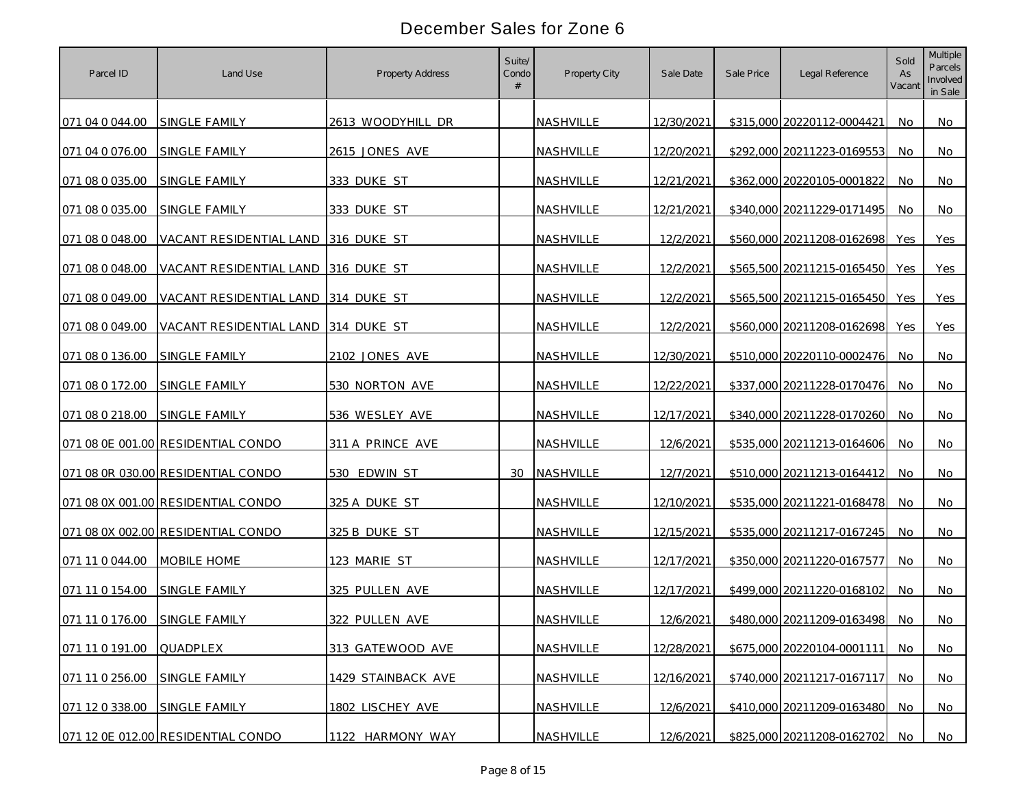| Parcel ID       | Land Use                            | <b>Property Address</b> | Suite/<br>Condo | Property City | Sale Date  | Sale Price | Legal Reference            | Sold<br>As<br>Vacant | Multiple<br>Parcels<br>Involved<br>in Sale |
|-----------------|-------------------------------------|-------------------------|-----------------|---------------|------------|------------|----------------------------|----------------------|--------------------------------------------|
| 071 04 0 044.00 | SINGLE FAMILY                       | 2613 WOODYHILL DR       |                 | NASHVILLE     | 12/30/2021 |            | \$315,000 20220112-0004421 | No.                  | No                                         |
| 071 04 0 076.00 | SINGLE FAMILY                       | 2615 JONES AVE          |                 | NASHVILLE     | 12/20/2021 |            | \$292,000 20211223-0169553 | No.                  | No.                                        |
| 071 08 0 035.00 | SINGLE FAMILY                       | 333 DUKE ST             |                 | NASHVILLE     | 12/21/2021 |            | \$362,000 20220105-0001822 | <b>No</b>            | No                                         |
| 071 08 0 035.00 | SINGLE FAMILY                       | 333 DUKE ST             |                 | NASHVILLE     | 12/21/2021 |            | \$340,000 20211229-0171495 | No                   | No                                         |
| 071 08 0 048.00 | VACANT RESIDENTIAL LAND 316 DUKE ST |                         |                 | NASHVILLE     | 12/2/2021  |            | \$560,000 20211208-0162698 | Yes                  | Yes                                        |
| 071 08 0 048.00 | VACANT RESIDENTIAL LAND 316 DUKE ST |                         |                 | NASHVILLE     | 12/2/2021  |            | \$565,500 20211215-0165450 | Yes                  | Yes                                        |
| 071 08 0 049.00 | VACANT RESIDENTIAL LAND 314 DUKE ST |                         |                 | NASHVILLE     | 12/2/2021  |            | \$565,500 20211215-0165450 | Yes                  | Yes                                        |
| 071 08 0 049.00 | VACANT RESIDENTIAL LAND 314 DUKE ST |                         |                 | NASHVILLE     | 12/2/2021  |            | \$560,000 20211208-0162698 | Yes                  | Yes                                        |
| 071 08 0 136.00 | SINGLE FAMILY                       | 2102 JONES AVE          |                 | NASHVILLE     | 12/30/2021 |            | \$510,000 20220110-0002476 | No.                  | No                                         |
| 071 08 0 172.00 | SINGLE FAMILY                       | 530 NORTON AVE          |                 | NASHVILLE     | 12/22/2021 |            | \$337,000 20211228-0170476 | No.                  | No                                         |
| 071 08 0 218.00 | SINGLE FAMILY                       | 536 WESLEY AVE          |                 | NASHVILLE     | 12/17/2021 |            | \$340,000 20211228-0170260 | No.                  | No.                                        |
|                 | 071 08 0E 001.00 RESIDENTIAL CONDO  | 311 A PRINCE AVE        |                 | NASHVILLE     | 12/6/2021  |            | \$535,000 20211213-0164606 | No.                  | <b>No</b>                                  |
|                 | 071 08 0R 030.00 RESIDENTIAL CONDO  | 530 EDWIN ST            |                 | 30 NASHVILLE  | 12/7/2021  |            | \$510,000 20211213-0164412 | No.                  | No                                         |
|                 | 071 08 0X 001.00 RESIDENTIAL CONDO  | 325 A DUKE ST           |                 | NASHVILLE     | 12/10/2021 |            | \$535,000 20211221-0168478 | No                   | No                                         |
|                 | 071 08 0X 002.00 RESIDENTIAL CONDO  | 325 B DUKE ST           |                 | NASHVILLE     | 12/15/2021 |            | \$535,000 20211217-0167245 | No                   | No                                         |
| 071 11 0 044.00 | MOBILE HOME                         | 123 MARIE ST            |                 | NASHVILLE     | 12/17/2021 |            | \$350,000 20211220-0167577 | No.                  | <b>No</b>                                  |
| 071 11 0 154.00 | SINGLE FAMILY                       | 325 PULLEN AVE          |                 | NASHVILLE     | 12/17/2021 |            | \$499,000 20211220-0168102 | No.                  | No                                         |
| 071 11 0 176.00 | SINGLE FAMILY                       | 322 PULLEN AVE          |                 | NASHVILLE     | 12/6/2021  |            | \$480,000 20211209-0163498 | No.                  | No.                                        |
| 071 11 0 191.00 | QUADPLEX                            | 313 GATEWOOD AVE        |                 | NASHVILLE     | 12/28/2021 |            | \$675,000 20220104-0001111 | No.                  | <b>No</b>                                  |
| 071 11 0 256.00 | SINGLE FAMILY                       | 1429 STAINBACK AVE      |                 | NASHVILLE     | 12/16/2021 |            | \$740,000 20211217-0167117 | No                   | <b>No</b>                                  |
| 071 12 0 338.00 | SINGLE FAMILY                       | 1802 LISCHEY AVE        |                 | NASHVILLE     | 12/6/2021  |            | \$410,000 20211209-0163480 | No                   | No                                         |
|                 | 071 12 0E 012.00 RESIDENTIAL CONDO  | 1122 HARMONY WAY        |                 | NASHVILLE     | 12/6/2021  |            | \$825,000 20211208-0162702 | No                   | No                                         |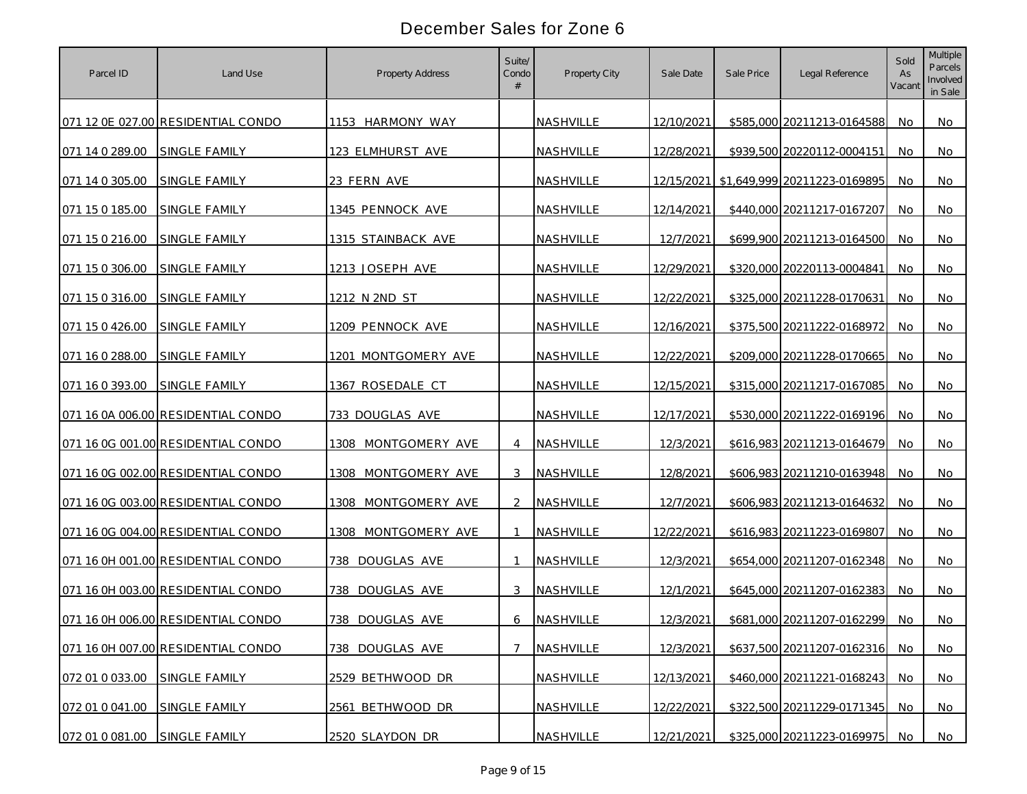| Parcel ID       | Land Use                           | <b>Property Address</b> | Suite/<br>Condo | Property City | Sale Date  | Sale Price | Legal Reference                         | Sold<br>As<br>Vacant | <b>Multiple</b><br>Parcels<br>Involved<br>in Sale |
|-----------------|------------------------------------|-------------------------|-----------------|---------------|------------|------------|-----------------------------------------|----------------------|---------------------------------------------------|
|                 | 071 12 0E 027.00 RESIDENTIAL CONDO | 1153 HARMONY WAY        |                 | NASHVILLE     | 12/10/2021 |            | \$585,000 20211213-0164588              | No.                  | No                                                |
| 071 14 0 289.00 | SINGLE FAMILY                      | 123 ELMHURST AVE        |                 | NASHVILLE     | 12/28/2021 |            | \$939,500 20220112-0004151              | No.                  | No.                                               |
| 071 14 0 305.00 | SINGLE FAMILY                      | 23 FERN AVE             |                 | NASHVILLE     |            |            | 12/15/2021 \$1,649,999 20211223-0169895 | No                   | No                                                |
| 071 15 0 185.00 | SINGLE FAMILY                      | 1345 PENNOCK AVE        |                 | NASHVILLE     | 12/14/2021 |            | \$440,000 20211217-0167207              | No                   | No                                                |
| 071 15 0 216.00 | <b>SINGLE FAMILY</b>               | 1315 STAINBACK AVE      |                 | NASHVILLE     | 12/7/2021  |            | \$699,900 20211213-0164500              | No                   | No                                                |
| 071 15 0 306.00 | <b>SINGLE FAMILY</b>               | 1213 JOSEPH AVE         |                 | NASHVILLE     | 12/29/2021 |            | \$320,000 20220113-0004841              | No                   | No                                                |
| 071 15 0 316.00 | SINGLE FAMILY                      | 1212 N 2ND ST           |                 | NASHVILLE     | 12/22/2021 |            | \$325,000 20211228-0170631              | No                   | No                                                |
| 071 15 0 426.00 | SINGLE FAMILY                      | 1209 PENNOCK AVE        |                 | NASHVILLE     | 12/16/2021 |            | \$375,500 20211222-0168972              | No                   | No                                                |
| 071 16 0 288.00 | SINGLE FAMILY                      | 1201 MONTGOMERY AVE     |                 | NASHVILLE     | 12/22/2021 |            | \$209,000 20211228-0170665              | No.                  | No                                                |
| 071 16 0 393.00 | <b>SINGLE FAMILY</b>               | 1367 ROSEDALE CT        |                 | NASHVILLE     | 12/15/2021 |            | \$315,000 20211217-0167085              | No.                  | No                                                |
|                 | 071 16 0A 006.00 RESIDENTIAL CONDO | 733 DOUGLAS AVE         |                 | NASHVILLE     | 12/17/2021 |            | \$530,000 20211222-0169196              | No.                  | No.                                               |
|                 | 071 16 0G 001.00 RESIDENTIAL CONDO | 1308 MONTGOMERY AVE     | 4               | NASHVILLE     | 12/3/2021  |            | \$616,983 20211213-0164679              | No.                  | <b>No</b>                                         |
|                 | 071 16 0G 002.00 RESIDENTIAL CONDO | 1308 MONTGOMERY AVE     | 3               | NASHVILLE     | 12/8/2021  |            | \$606,983 20211210-0163948              | No.                  | No.                                               |
|                 | 071 16 0G 003.00 RESIDENTIAL CONDO | 1308<br>MONTGOMERY AVE  | 2               | NASHVILLE     | 12/7/2021  |            | \$606,983 20211213-0164632              | No                   | <b>No</b>                                         |
|                 | 071 16 0G 004.00 RESIDENTIAL CONDO | MONTGOMERY AVE<br>1308. |                 | NASHVILLE     | 12/22/2021 |            | \$616,983 20211223-0169807              | No                   | No                                                |
|                 | 071 16 0H 001.00 RESIDENTIAL CONDO | DOUGLAS AVE<br>738      |                 | NASHVILLE     | 12/3/2021  |            | \$654,000 20211207-0162348              | No                   | No                                                |
|                 | 071 16 0H 003.00 RESIDENTIAL CONDO | DOUGLAS AVE<br>738      | 3               | NASHVILLE     | 12/1/2021  |            | \$645,000 20211207-0162383              | No                   | No                                                |
|                 | 071 16 0H 006.00 RESIDENTIAL CONDO | 738 DOUGLAS AVE         | 6               | NASHVILLE     | 12/3/2021  |            | \$681,000 20211207-0162299              | No                   | No.                                               |
|                 | 071 16 0H 007.00 RESIDENTIAL CONDO | 738 DOUGLAS AVE         |                 | NASHVILLE     | 12/3/2021  |            | \$637,500 20211207-0162316              | No.                  | <b>No</b>                                         |
| 072 01 0 033.00 | SINGLE FAMILY                      | 2529 BETHWOOD DR        |                 | NASHVILLE     | 12/13/2021 |            | \$460,000 20211221-0168243              | No                   | No                                                |
| 072 01 0 041.00 | SINGLE FAMILY                      | 2561 BETHWOOD DR        |                 | NASHVILLE     | 12/22/2021 |            | \$322,500 20211229-0171345              | No                   | No                                                |
| 072 01 0 081.00 | SINGLE FAMILY                      | 2520 SLAYDON DR         |                 | NASHVILLE     | 12/21/2021 |            | \$325,000 20211223-0169975              | No                   | No                                                |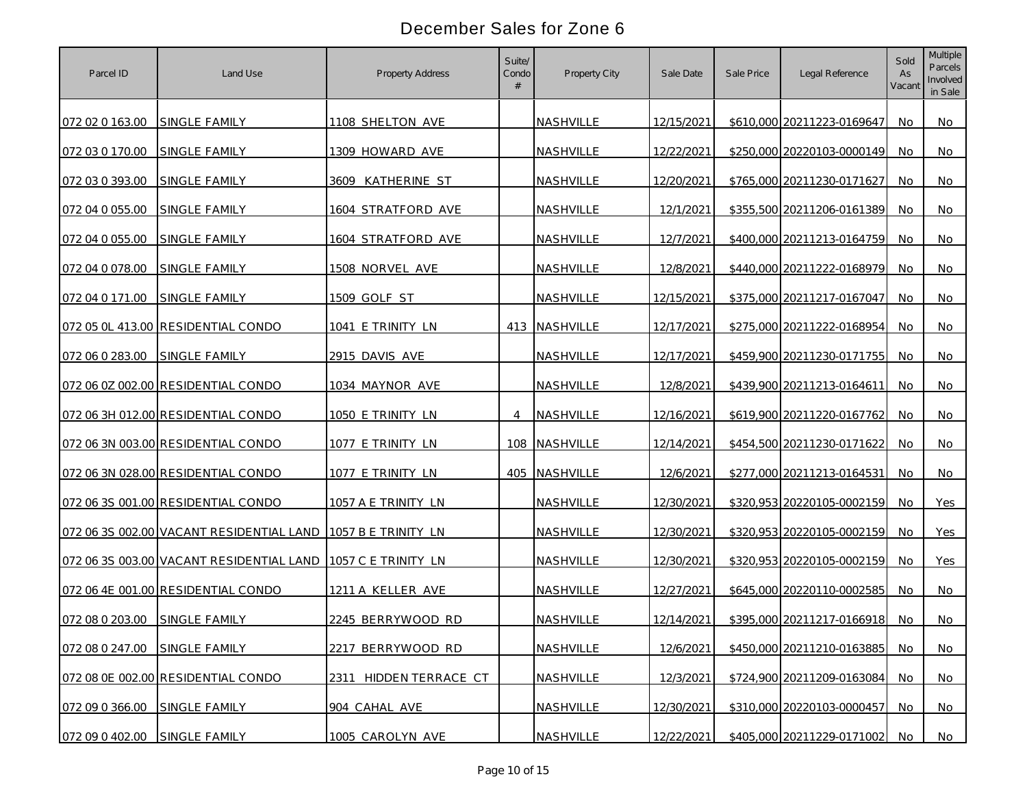| Parcel ID                     | Land Use                                 | <b>Property Address</b> | Suite/<br>Condo | Property City | Sale Date  | Sale Price | Legal Reference            | Sold<br>As<br>Vacant | Multiple<br>Parcels<br>Involved<br>in Sale |
|-------------------------------|------------------------------------------|-------------------------|-----------------|---------------|------------|------------|----------------------------|----------------------|--------------------------------------------|
| 072 02 0 163.00               | SINGLE FAMILY                            | 1108 SHELTON AVE        |                 | NASHVILLE     | 12/15/2021 |            | \$610,000 20211223-0169647 | No.                  | No                                         |
| 072 03 0 170.00               | SINGLE FAMILY                            | 1309 HOWARD AVE         |                 | NASHVILLE     | 12/22/2021 |            | \$250,000 20220103-0000149 | No.                  | No.                                        |
| 072 03 0 393.00               | SINGLE FAMILY                            | 3609 KATHERINE ST       |                 | NASHVILLE     | 12/20/2021 |            | \$765,000 20211230-0171627 | <b>No</b>            | No                                         |
| 072 04 0 055.00               | <b>SINGLE FAMILY</b>                     | 1604 STRATFORD AVE      |                 | NASHVILLE     | 12/1/2021  |            | \$355,500 20211206-0161389 | No                   | No                                         |
| 072 04 0 055.00               | SINGLE FAMILY                            | 1604 STRATFORD AVE      |                 | NASHVILLE     | 12/7/2021  |            | \$400,000 20211213-0164759 | No                   | No                                         |
| 072 04 0 078.00               | <b>SINGLE FAMILY</b>                     | 1508 NORVEL AVE         |                 | NASHVILLE     | 12/8/2021  |            | \$440,000 20211222-0168979 | No                   | No                                         |
| 072 04 0 171.00               | SINGLE FAMILY                            | 1509 GOLF ST            |                 | NASHVILLE     | 12/15/2021 |            | \$375,000 20211217-0167047 | No                   | No                                         |
|                               | 072 05 OL 413.00 RESIDENTIAL CONDO       | 1041 E TRINITY LN       |                 | 413 NASHVILLE | 12/17/2021 |            | \$275,000 20211222-0168954 | No                   | No                                         |
| 072 06 0 283.00               | SINGLE FAMILY                            | 2915 DAVIS AVE          |                 | NASHVILLE     | 12/17/2021 |            | \$459,900 20211230-0171755 | No.                  | No                                         |
|                               | 072 06 0Z 002.00 RESIDENTIAL CONDO       | 1034 MAYNOR AVE         |                 | NASHVILLE     | 12/8/2021  |            | \$439,900 20211213-0164611 | No.                  | No                                         |
|                               | 072 06 3H 012.00 RESIDENTIAL CONDO       | 1050 E TRINITY LN       | $\overline{4}$  | NASHVILLE     | 12/16/2021 |            | \$619,900 20211220-0167762 | No.                  | No.                                        |
|                               | 072 06 3N 003.00 RESIDENTIAL CONDO       | 1077 E TRINITY LN       |                 | 108 NASHVILLE | 12/14/2021 |            | \$454,500 20211230-0171622 | No.                  | <b>No</b>                                  |
|                               | 072 06 3N 028.00 RESIDENTIAL CONDO       | 1077 E TRINITY LN       |                 | 405 NASHVILLE | 12/6/2021  |            | \$277,000 20211213-0164531 | No.                  | No                                         |
|                               | 072 06 3S 001.00 RESIDENTIAL CONDO       | 1057 A E TRINITY LN     |                 | NASHVILLE     | 12/30/2021 |            | \$320,953 20220105-0002159 | No                   | Yes                                        |
|                               | 072 06 3S 002.00 VACANT RESIDENTIAL LAND | 1057 B E TRINITY LN     |                 | NASHVILLE     | 12/30/2021 |            | \$320,953 20220105-0002159 | No                   | <b>Yes</b>                                 |
|                               | 072 06 3S 003.00 VACANT RESIDENTIAL LAND | 1057 C E TRINITY LN     |                 | NASHVILLE     | 12/30/2021 |            | \$320,953 20220105-0002159 | No.                  | Yes                                        |
|                               | 072 06 4E 001.00 RESIDENTIAL CONDO       | 1211 A KELLER AVE       |                 | NASHVILLE     | 12/27/2021 |            | \$645,000 20220110-0002585 | No                   | No.                                        |
| 072 08 0 203.00               | SINGLE FAMILY                            | 2245 BERRYWOOD RD       |                 | NASHVILLE     | 12/14/2021 |            | \$395,000 20211217-0166918 | No                   | No.                                        |
| 072 08 0 247.00 SINGLE FAMILY |                                          | 2217 BERRYWOOD RD       |                 | NASHVILLE     | 12/6/2021  |            | \$450,000 20211210-0163885 | No                   | <b>No</b>                                  |
|                               | 072 08 0E 002.00 RESIDENTIAL CONDO       | 2311 HIDDEN TERRACE CT  |                 | NASHVILLE     | 12/3/2021  |            | \$724,900 20211209-0163084 | No                   | No                                         |
| 072 09 0 366.00               | SINGLE FAMILY                            | 904 CAHAL AVE           |                 | NASHVILLE     | 12/30/2021 |            | \$310,000 20220103-0000457 | No                   | No                                         |
| 072 09 0 402.00               | SINGLE FAMILY                            | 1005 CAROLYN AVE        |                 | NASHVILLE     | 12/22/2021 |            | \$405,000 20211229-0171002 | No                   | No                                         |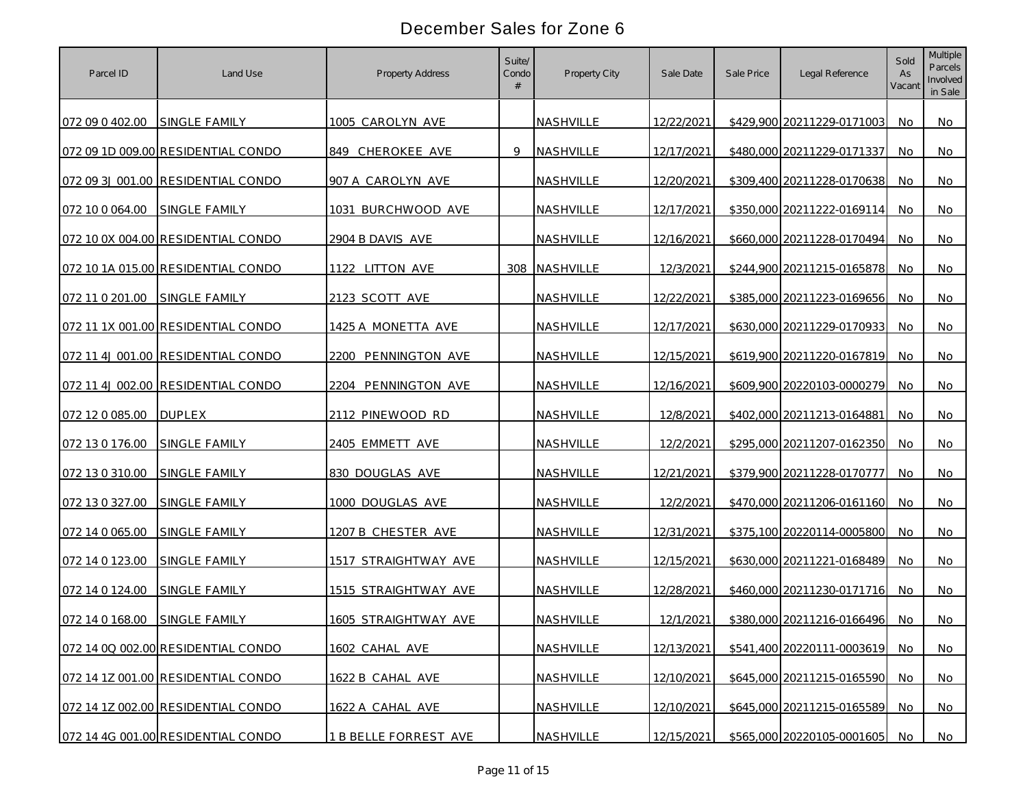| Parcel ID       | Land Use                           | <b>Property Address</b>     | Suite/<br>Condo | Property City | Sale Date  | Sale Price | Legal Reference               | Sold<br>As<br>Vacant | Multiple<br>Parcels<br>Involved<br>in Sale |
|-----------------|------------------------------------|-----------------------------|-----------------|---------------|------------|------------|-------------------------------|----------------------|--------------------------------------------|
| 072 09 0 402.00 | <b>SINGLE FAMILY</b>               | 1005 CAROLYN AVE            |                 | NASHVILLE     | 12/22/2021 |            | \$429,900 20211229-0171003    | No.                  | No                                         |
|                 | 072 09 1D 009.00 RESIDENTIAL CONDO | 849 CHEROKEE AVE            | 9               | NASHVILLE     | 12/17/2021 |            | \$480,000 20211229-0171337    | No.                  | No.                                        |
|                 | 072 09 3J 001.00 RESIDENTIAL CONDO | 907 A CAROLYN AVE           |                 | NASHVILLE     | 12/20/2021 |            | \$309,400 20211228-0170638    | <b>No</b>            | No                                         |
| 072 10 0 064.00 | SINGLE FAMILY                      | 1031 BURCHWOOD AVE          |                 | NASHVILLE     | 12/17/2021 |            | \$350,000 20211222-0169114    | No                   | No                                         |
|                 | 072 10 0X 004.00 RESIDENTIAL CONDO | 2904 B DAVIS AVE            |                 | NASHVILLE     | 12/16/2021 |            | \$660,000 20211228-0170494    | No                   | No                                         |
|                 | 072 10 1A 015.00 RESIDENTIAL CONDO | 1122 LITTON AVE             |                 | 308 NASHVILLE | 12/3/2021  |            | \$244,900 20211215-0165878    | No                   | No                                         |
| 072 11 0 201.00 | SINGLE FAMILY                      | 2123 SCOTT AVE              |                 | NASHVILLE     | 12/22/2021 |            | \$385,000 20211223-0169656    | No                   | No                                         |
|                 | 072 11 1X 001.00 RESIDENTIAL CONDO | 1425 A MONETTA AVE          |                 | NASHVILLE     | 12/17/2021 |            | \$630,000 20211229-0170933    | No                   | No                                         |
|                 | 072 11 4J 001.00 RESIDENTIAL CONDO | 2200 PENNINGTON AVE         |                 | NASHVILLE     | 12/15/2021 |            | \$619,900 20211220-0167819    | No.                  | No                                         |
|                 | 072 11 4J 002.00 RESIDENTIAL CONDO | 2204 PENNINGTON AVE         |                 | NASHVILLE     | 12/16/2021 |            | \$609,900 20220103-0000279    | No.                  | No                                         |
| 072 12 0 085.00 | <b>DUPLEX</b>                      | 2112 PINEWOOD RD            |                 | NASHVILLE     | 12/8/2021  |            | \$402,000 20211213-0164881    | No.                  | No.                                        |
| 072 13 0 176.00 | <b>SINGLE FAMILY</b>               | 2405 EMMETT AVE             |                 | NASHVILLE     | 12/2/2021  |            | \$295,000 20211207-0162350    | No.                  | <b>No</b>                                  |
| 072 13 0 310.00 | SINGLE FAMILY                      | 830 DOUGLAS AVE             |                 | NASHVILLE     | 12/21/2021 |            | \$379,900 20211228-0170777    | No.                  | No                                         |
| 072 13 0 327.00 | SINGLE FAMILY                      | 1000 DOUGLAS AVE            |                 | NASHVILLE     | 12/2/2021  |            | \$470,000 20211206-0161160    | No                   | <b>No</b>                                  |
| 072 14 0 065.00 | SINGLE FAMILY                      | 1207 B CHESTER AVE          |                 | NASHVILLE     | 12/31/2021 |            | \$375,100 20220114-0005800    | No                   | No                                         |
| 072 14 0 123.00 | <b>SINGLE FAMILY</b>               | 1517 STRAIGHTWAY AVE        |                 | NASHVILLE     | 12/15/2021 |            | \$630,000 20211221-0168489    | No                   | No                                         |
| 072 14 0 124.00 | SINGLE FAMILY                      | 1515 STRAIGHTWAY AVE        |                 | NASHVILLE     | 12/28/2021 |            | \$460,000 20211230-0171716    | No                   | No                                         |
| 072 14 0 168.00 | SINGLE FAMILY                      | <u>1605 STRAIGHTWAY AVE</u> |                 | NASHVILLE     | 12/1/2021  |            | \$380,000 20211216-0166496    | No                   | No.                                        |
|                 | 072 14 0Q 002.00 RESIDENTIAL CONDO | 1602 CAHAL AVE              |                 | NASHVILLE     | 12/13/2021 |            | \$541,400 20220111-0003619    | No                   | <b>No</b>                                  |
|                 | 072 14 1Z 001.00 RESIDENTIAL CONDO | 1622 B CAHAL AVE            |                 | NASHVILLE     | 12/10/2021 |            | \$645,000 20211215-0165590    | No                   | <b>No</b>                                  |
|                 | 072 14 1Z 002.00 RESIDENTIAL CONDO | 1622 A CAHAL AVE            |                 | NASHVILLE     | 12/10/2021 |            | \$645,000 20211215-0165589    | No                   | No                                         |
|                 | 072 14 4G 001.00 RESIDENTIAL CONDO | 1 B BELLE FORREST AVE       |                 | NASHVILLE     | 12/15/2021 |            | \$565,000 20220105-0001605 No |                      | No                                         |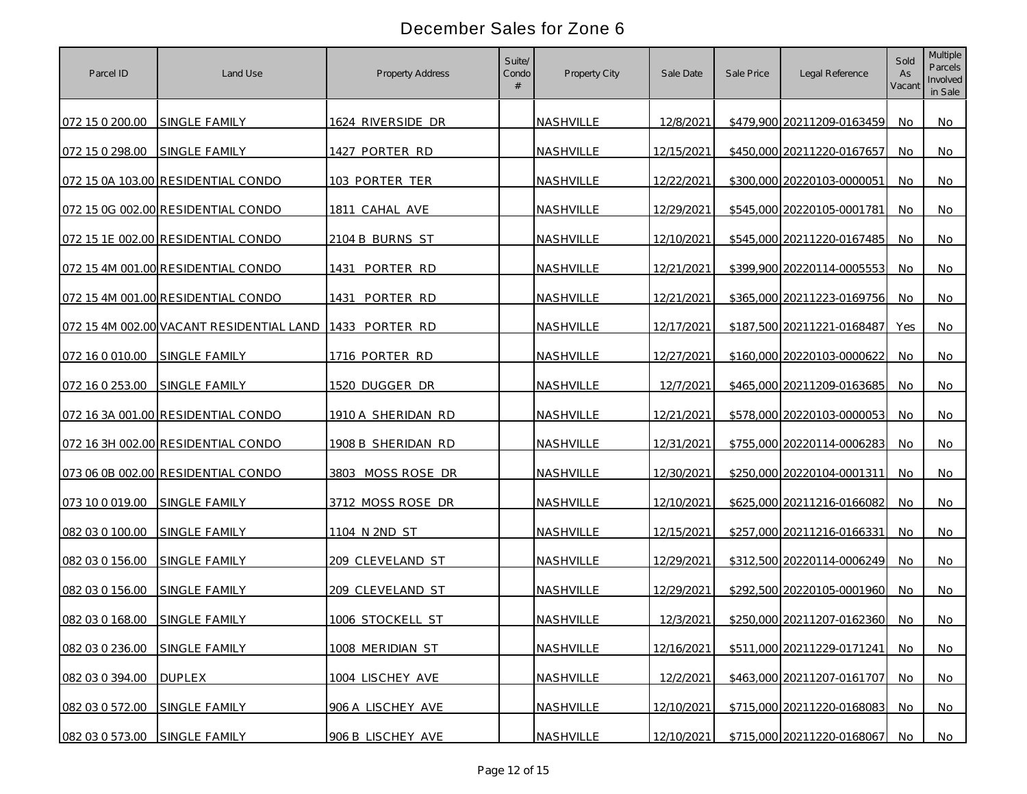| Parcel ID       | Land Use                                 | <b>Property Address</b> | Suite/<br>Condo | Property City | Sale Date  | Sale Price | Legal Reference            | Sold<br>As<br>Vacant | Multiple<br>Parcels<br>Involved<br>in Sale |
|-----------------|------------------------------------------|-------------------------|-----------------|---------------|------------|------------|----------------------------|----------------------|--------------------------------------------|
| 072 15 0 200.00 | SINGLE FAMILY                            | 1624 RIVERSIDE DR       |                 | NASHVILLE     | 12/8/2021  |            | \$479,900 20211209-0163459 | No                   | No.                                        |
| 072 15 0 298.00 | SINGLE FAMILY                            | 1427 PORTER RD          |                 | NASHVILLE     | 12/15/2021 |            | \$450,000 20211220-0167657 | No                   | No                                         |
|                 | 072 15 0A 103.00 RESIDENTIAL CONDO       | 103 PORTER TER          |                 | NASHVILLE     | 12/22/2021 |            | \$300,000 20220103-0000051 | No                   | No.                                        |
|                 | 072 15 0G 002.00 RESIDENTIAL CONDO       | 1811 CAHAL AVE          |                 | NASHVILLE     | 12/29/2021 |            | \$545,000 20220105-0001781 | <b>No</b>            | No.                                        |
|                 | 072 15 1E 002.00 RESIDENTIAL CONDO       | 2104 B BURNS ST         |                 | NASHVILLE     | 12/10/2021 |            | \$545,000 20211220-0167485 | No                   | <b>No</b>                                  |
|                 | 072 15 4M 001.00 RESIDENTIAL CONDO       | 1431<br>PORTER RD       |                 | NASHVILLE     | 12/21/2021 |            | \$399,900 20220114-0005553 | No                   | No                                         |
|                 | 072 15 4M 001.00 RESIDENTIAL CONDO       | 1431 PORTER RD          |                 | NASHVILLE     | 12/21/2021 |            | \$365,000 20211223-0169756 | No                   | No                                         |
|                 | 072 15 4M 002.00 VACANT RESIDENTIAL LAND | 1433 PORTER RD          |                 | NASHVILLE     | 12/17/2021 |            | \$187,500 20211221-0168487 | Yes                  | No                                         |
| 072 16 0 010.00 | SINGLE FAMILY                            | 1716 PORTER RD          |                 | NASHVILLE     | 12/27/2021 |            | \$160,000 20220103-0000622 | No                   | No                                         |
| 072 16 0 253.00 | <b>SINGLE FAMILY</b>                     | 1520 DUGGER DR          |                 | NASHVILLE     | 12/7/2021  |            | \$465,000 20211209-0163685 | No.                  | No                                         |
|                 | 072 16 3A 001.00 RESIDENTIAL CONDO       | 1910 A SHERIDAN RD      |                 | NASHVILLE     | 12/21/2021 |            | \$578,000 20220103-0000053 | No.                  | No                                         |
|                 | 072 16 3H 002.00 RESIDENTIAL CONDO       | 1908 B SHERIDAN RD      |                 | NASHVILLE     | 12/31/2021 |            | \$755,000 20220114-0006283 | No.                  | No                                         |
|                 | 073 06 0B 002.00 RESIDENTIAL CONDO       | 3803 MOSS ROSE DR       |                 | NASHVILLE     | 12/30/2021 |            | \$250,000 20220104-0001311 | <b>No</b>            | No                                         |
| 073 10 0 019.00 | SINGLE FAMILY                            | 3712 MOSS ROSE DR       |                 | NASHVILLE     | 12/10/2021 |            | \$625,000 20211216-0166082 | <b>No</b>            | No                                         |
| 082 03 0 100.00 | SINGLE FAMILY                            | 1104 N 2ND ST           |                 | NASHVILLE     | 12/15/2021 |            | \$257,000 20211216-0166331 | <b>No</b>            | No                                         |
| 082 03 0 156.00 | <b>SINGLE FAMILY</b>                     | 209 CLEVELAND ST        |                 | NASHVILLE     | 12/29/2021 |            | \$312,500 20220114-0006249 | <b>No</b>            | No.                                        |
| 082 03 0 156.00 | SINGLE FAMILY                            | 209 CLEVELAND ST        |                 | NASHVILLE     | 12/29/2021 |            | \$292,500 20220105-0001960 | No.                  | No                                         |
| 082 03 0 168.00 | <b>SINGLE FAMILY</b>                     | 1006 STOCKELL ST        |                 | NASHVILLE     | 12/3/2021  |            | \$250,000 20211207-0162360 | <b>No</b>            | No                                         |
| 082 03 0 236.00 | SINGLE FAMILY                            | 1008 MERIDIAN ST        |                 | NASHVILLE     | 12/16/2021 |            | \$511,000 20211229-0171241 | No                   | <b>No</b>                                  |
| 082 03 0 394.00 | <b>DUPLEX</b>                            | 1004 LISCHEY AVE        |                 | NASHVILLE     | 12/2/2021  |            | \$463,000 20211207-0161707 | No                   | No                                         |
| 082 03 0 572.00 | SINGLE FAMILY                            | 906 A LISCHEY AVE       |                 | NASHVILLE     | 12/10/2021 |            | \$715,000 20211220-0168083 | No                   | No                                         |
| 082 03 0 573.00 | SINGLE FAMILY                            | 906 B LISCHEY AVE       |                 | NASHVILLE     | 12/10/2021 |            | \$715,000 20211220-0168067 | No                   | No                                         |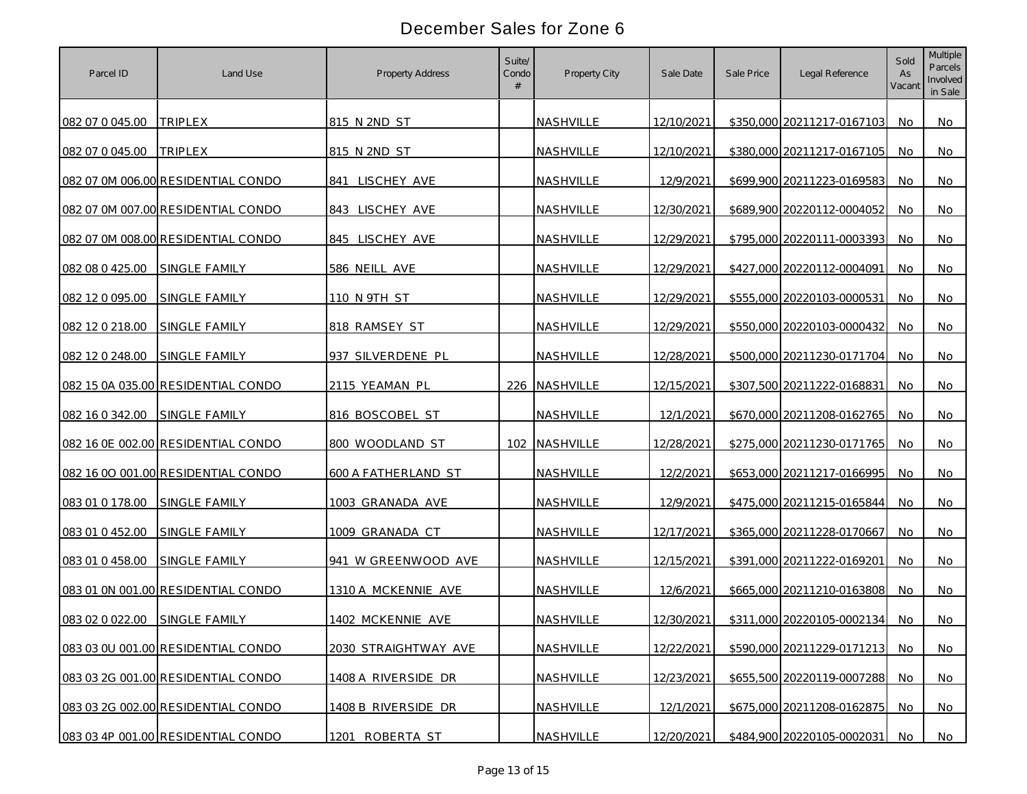| Parcel ID       | Land Use                           | <b>Property Address</b> | Suite/<br>Condo | Property City | Sale Date  | Sale Price | Legal Reference            | Sold<br>As<br>Vacant | Multiple<br>Parcels<br>Involved<br>in Sale |
|-----------------|------------------------------------|-------------------------|-----------------|---------------|------------|------------|----------------------------|----------------------|--------------------------------------------|
| 082 07 0 045.00 | <b>TRIPLEX</b>                     | 815 N 2ND ST            |                 | NASHVILLE     | 12/10/2021 |            | \$350,000 20211217-0167103 | No.                  | No                                         |
| 082 07 0 045.00 | <b>TRIPLEX</b>                     | 815 N 2ND ST            |                 | NASHVILLE     | 12/10/2021 |            | \$380,000 20211217-0167105 | No.                  | No.                                        |
|                 | 082 07 0M 006.00 RESIDENTIAL CONDO | 841 LISCHEY AVE         |                 | NASHVILLE     | 12/9/2021  |            | \$699,900 20211223-0169583 | No                   | No                                         |
|                 | 082 07 0M 007.00 RESIDENTIAL CONDO | 843 LISCHEY AVE         |                 | NASHVILLE     | 12/30/2021 |            | \$689,900 20220112-0004052 | No                   | No                                         |
|                 | 082 07 0M 008.00 RESIDENTIAL CONDO | 845 LISCHEY AVE         |                 | NASHVILLE     | 12/29/2021 |            | \$795,000 20220111-0003393 | No                   | No                                         |
| 082 08 0 425.00 | SINGLE FAMILY                      | 586 NEILL AVE           |                 | NASHVILLE     | 12/29/2021 |            | \$427,000 20220112-0004091 | No                   | No                                         |
| 082 12 0 095.00 | SINGLE FAMILY                      | 110 N 9TH ST            |                 | NASHVILLE     | 12/29/2021 |            | \$555,000 20220103-0000531 | No                   | No                                         |
| 082 12 0 218.00 | SINGLE FAMILY                      | 818 RAMSEY ST           |                 | NASHVILLE     | 12/29/2021 |            | \$550,000 20220103-0000432 | No                   | No                                         |
| 082 12 0 248.00 | SINGLE FAMILY                      | 937 SILVERDENE PL       |                 | NASHVILLE     | 12/28/2021 |            | \$500,000 20211230-0171704 | No.                  | No                                         |
|                 | 082 15 0A 035.00 RESIDENTIAL CONDO | 2115 YEAMAN PL          |                 | 226 NASHVILLE | 12/15/2021 |            | \$307,500 20211222-0168831 | No.                  | No                                         |
| 082 16 0 342.00 | <b>SINGLE FAMILY</b>               | 816 BOSCOBEL ST         |                 | NASHVILLE     | 12/1/2021  |            | \$670,000 20211208-0162765 | No.                  | No.                                        |
|                 | 082 16 0E 002.00 RESIDENTIAL CONDO | 800 WOODLAND ST         |                 | 102 NASHVILLE | 12/28/2021 |            | \$275,000 20211230-0171765 | No.                  | <b>No</b>                                  |
|                 | 082 16 00 001.00 RESIDENTIAL CONDO | 600 A FATHERLAND ST     |                 | NASHVILLE     | 12/2/2021  |            | \$653,000 20211217-0166995 | No.                  | No                                         |
| 083 01 0 178.00 | SINGLE FAMILY                      | 1003 GRANADA AVE        |                 | NASHVILLE     | 12/9/2021  |            | \$475,000 20211215-0165844 | No                   | No                                         |
| 083 01 0 452.00 | SINGLE FAMILY                      | 1009 GRANADA CT         |                 | NASHVILLE     | 12/17/2021 |            | \$365,000 20211228-0170667 | No                   | No                                         |
| 083 01 0 458.00 | SINGLE FAMILY                      | 941 W GREENWOOD AVE     |                 | NASHVILLE     | 12/15/2021 |            | \$391,000 20211222-0169201 | No                   | No                                         |
|                 | 083 01 0N 001.00 RESIDENTIAL CONDO | 1310 A MCKENNIE AVE     |                 | NASHVILLE     | 12/6/2021  |            | \$665,000 20211210-0163808 | No                   | No                                         |
| 083 02 0 022.00 | SINGLE FAMILY                      | 1402 MCKENNIE AVE       |                 | NASHVILLE     | 12/30/2021 |            | \$311,000 20220105-0002134 | No                   | No.                                        |
|                 | 083 03 0U 001.00 RESIDENTIAL CONDO | 2030 STRAIGHTWAY AVE    |                 | NASHVILLE     | 12/22/2021 |            | \$590,000 20211229-0171213 | No                   | No                                         |
|                 | 083 03 2G 001.00 RESIDENTIAL CONDO | 1408 A RIVERSIDE DR     |                 | NASHVILLE     | 12/23/2021 |            | \$655,500 20220119-0007288 | No                   | No                                         |
|                 | 083 03 2G 002.00 RESIDENTIAL CONDO | 1408 B RIVERSIDE DR     |                 | NASHVILLE     | 12/1/2021  |            | \$675,000 20211208-0162875 | No                   | No                                         |
|                 | 083 03 4P 001.00 RESIDENTIAL CONDO | 1201 ROBERTA ST         |                 | NASHVILLE     | 12/20/2021 |            | \$484,900 20220105-0002031 | No                   | No                                         |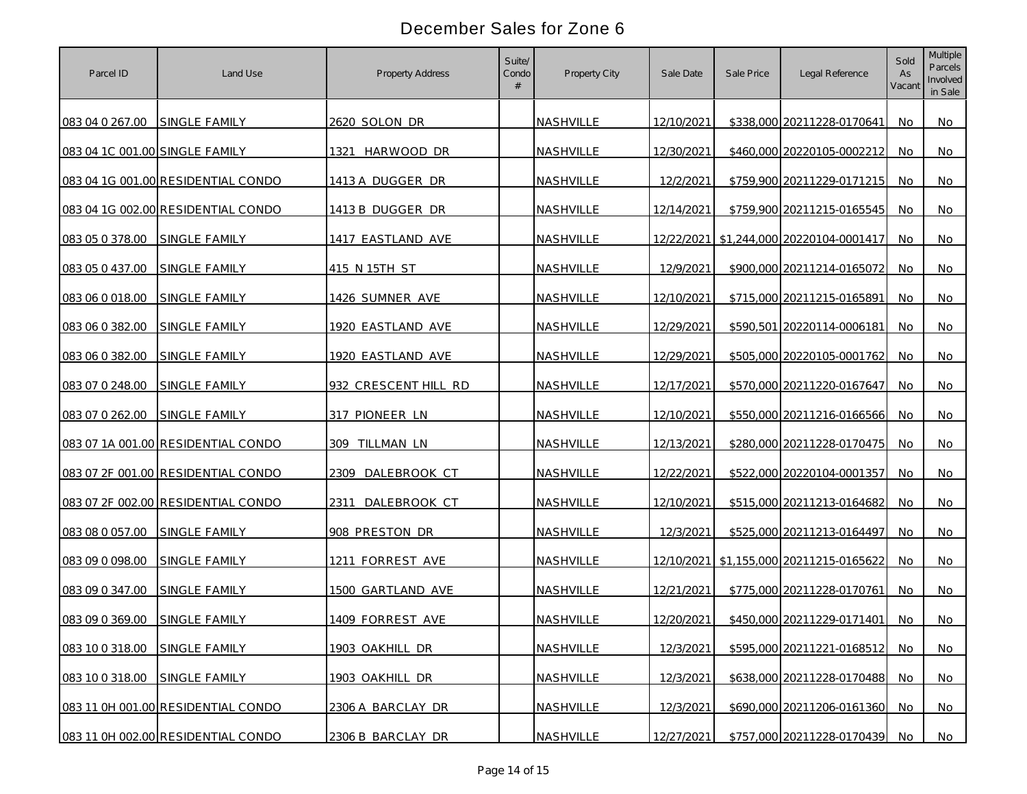| Parcel ID                      | Land Use                           | <b>Property Address</b> | Suite/<br>Condo | Property City | Sale Date  | Sale Price | Legal Reference                         | Sold<br>As<br>Vacant | Multiple<br>Parcels<br>Involved<br>in Sale |
|--------------------------------|------------------------------------|-------------------------|-----------------|---------------|------------|------------|-----------------------------------------|----------------------|--------------------------------------------|
| 083 04 0 267.00                | SINGLE FAMILY                      | 2620 SOLON DR           |                 | NASHVILLE     | 12/10/2021 |            | \$338,000 20211228-0170641              | No.                  | No                                         |
| 083 04 1C 001.00 SINGLE FAMILY |                                    | 1321 HARWOOD DR         |                 | NASHVILLE     | 12/30/2021 |            | \$460,000 20220105-0002212              | No.                  | No                                         |
|                                | 083 04 1G 001.00 RESIDENTIAL CONDO | 1413 A DUGGER DR        |                 | NASHVILLE     | 12/2/2021  |            | \$759,900 20211229-0171215              | <b>No</b>            | No                                         |
|                                | 083 04 1G 002.00 RESIDENTIAL CONDO | 1413 B DUGGER DR        |                 | NASHVILLE     | 12/14/2021 |            | \$759,900 20211215-0165545              | No                   | No                                         |
| 083 05 0 378.00                | SINGLE FAMILY                      | 1417 EASTLAND AVE       |                 | NASHVILLE     |            |            | 12/22/2021 \$1,244,000 20220104-0001417 | No                   | No                                         |
| 083 05 0 437.00                | SINGLE FAMILY                      | 415 N 15TH ST           |                 | NASHVILLE     | 12/9/2021  |            | \$900,000 20211214-0165072              | No                   | No                                         |
| 083 06 0 018.00                | <b>SINGLE FAMILY</b>               | 1426 SUMNER AVE         |                 | NASHVILLE     | 12/10/2021 |            | \$715,000 20211215-0165891              | No                   | No                                         |
| 083 06 0 382.00                | SINGLE FAMILY                      | 1920 EASTLAND AVE       |                 | NASHVILLE     | 12/29/2021 |            | \$590,501 20220114-0006181              | No                   | No                                         |
| 083 06 0 382.00                | SINGLE FAMILY                      | 1920 EASTLAND AVE       |                 | NASHVILLE     | 12/29/2021 |            | \$505,000 20220105-0001762              | No.                  | No                                         |
| 083 07 0 248.00                | SINGLE FAMILY                      | 932 CRESCENT HILL RD    |                 | NASHVILLE     | 12/17/2021 |            | \$570,000 20211220-0167647              | No.                  | No                                         |
| 083 07 0 262.00                | <b>SINGLE FAMILY</b>               | 317 PIONEER LN          |                 | NASHVILLE     | 12/10/2021 |            | \$550,000 20211216-0166566              | No.                  | No.                                        |
|                                | 083 07 1A 001.00 RESIDENTIAL CONDO | 309 TILLMAN LN          |                 | NASHVILLE     | 12/13/2021 |            | \$280,000 20211228-0170475              | No.                  | <b>No</b>                                  |
|                                | 083 07 2F 001.00 RESIDENTIAL CONDO | DALEBROOK CT<br>2309    |                 | NASHVILLE     | 12/22/2021 |            | \$522,000 20220104-0001357              | No.                  | No                                         |
|                                | 083 07 2F 002.00 RESIDENTIAL CONDO | 2311<br>DALEBROOK CT    |                 | NASHVILLE     | 12/10/2021 |            | \$515,000 20211213-0164682              | No                   | <b>No</b>                                  |
| 083 08 0 057.00                | SINGLE FAMILY                      | 908 PRESTON DR          |                 | NASHVILLE     | 12/3/2021  |            | \$525,000 20211213-0164497              | No                   | No                                         |
| 083 09 0 098.00                | SINGLE FAMILY                      | 1211 FORREST AVE        |                 | NASHVILLE     |            |            | 12/10/2021 \$1,155,000 20211215-0165622 | No.                  | No                                         |
| 083 09 0 347.00                | <b>SINGLE FAMILY</b>               | 1500 GARTLAND AVE       |                 | NASHVILLE     | 12/21/2021 |            | \$775,000 20211228-0170761              | No.                  | No                                         |
| 083 09 0 369.00                | <b>SINGLE FAMILY</b>               | 1409 FORREST AVE        |                 | NASHVILLE     | 12/20/2021 |            | \$450,000 20211229-0171401              | No                   | No.                                        |
| 083 10 0 318.00                | SINGLE FAMILY                      | 1903 OAKHILL DR         |                 | NASHVILLE     | 12/3/2021  |            | \$595,000 20211221-0168512              | No                   | <b>No</b>                                  |
| 083 10 0 318.00                | SINGLE FAMILY                      | 1903 OAKHILL DR         |                 | NASHVILLE     | 12/3/2021  |            | \$638,000 20211228-0170488              | No                   | No                                         |
|                                | 083 11 0H 001.00 RESIDENTIAL CONDO | 2306 A BARCLAY DR       |                 | NASHVILLE     | 12/3/2021  |            | \$690,000 20211206-0161360              | No                   | No                                         |
|                                | 083 11 0H 002.00 RESIDENTIAL CONDO | 2306 B BARCLAY DR       |                 | NASHVILLE     | 12/27/2021 |            | \$757,000 20211228-0170439 No           |                      | No                                         |